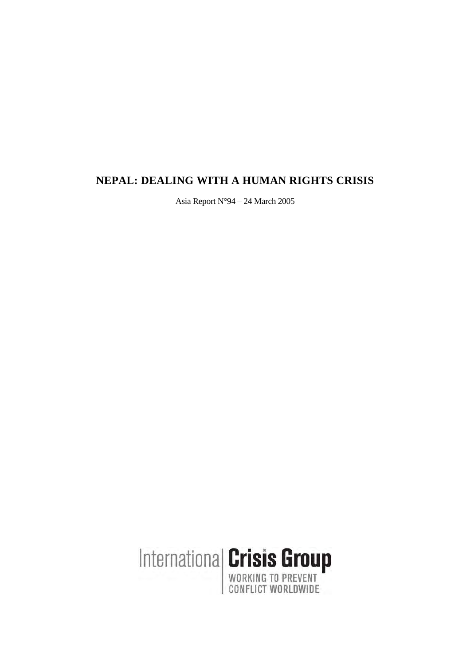# **NEPAL: DEALING WITH A HUMAN RIGHTS CRISIS**

Asia Report N°94 – 24 March 2005

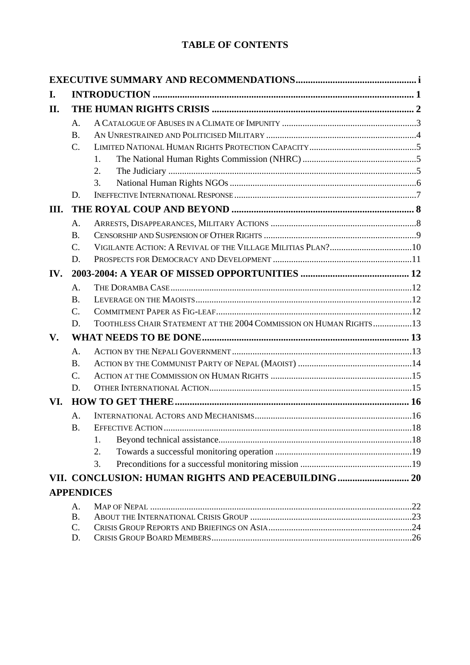# **TABLE OF CONTENTS**

| I.                |                 |                                                                    |  |  |  |
|-------------------|-----------------|--------------------------------------------------------------------|--|--|--|
| II.               |                 |                                                                    |  |  |  |
|                   | А.              |                                                                    |  |  |  |
|                   | <b>B.</b>       |                                                                    |  |  |  |
|                   | $\mathcal{C}$ . |                                                                    |  |  |  |
|                   |                 | 1.                                                                 |  |  |  |
|                   |                 | 2.                                                                 |  |  |  |
|                   |                 | 3.                                                                 |  |  |  |
|                   | D.              |                                                                    |  |  |  |
| III.              |                 |                                                                    |  |  |  |
|                   | A.              |                                                                    |  |  |  |
|                   | <b>B.</b>       |                                                                    |  |  |  |
|                   | $\mathcal{C}$ . |                                                                    |  |  |  |
|                   | D.              |                                                                    |  |  |  |
| IV.               |                 |                                                                    |  |  |  |
|                   | A.              |                                                                    |  |  |  |
|                   | <b>B.</b>       |                                                                    |  |  |  |
|                   | $\mathcal{C}$ . |                                                                    |  |  |  |
|                   | D.              | TOOTHLESS CHAIR STATEMENT AT THE 2004 COMMISSION ON HUMAN RIGHTS13 |  |  |  |
| $V_{\bullet}$     |                 |                                                                    |  |  |  |
|                   | A.              |                                                                    |  |  |  |
|                   | <b>B.</b>       |                                                                    |  |  |  |
|                   | $\mathcal{C}$ . |                                                                    |  |  |  |
|                   | D.              |                                                                    |  |  |  |
| VI.               |                 |                                                                    |  |  |  |
|                   | A.              |                                                                    |  |  |  |
|                   | <b>B.</b>       |                                                                    |  |  |  |
|                   |                 | 1.                                                                 |  |  |  |
|                   |                 | 2.                                                                 |  |  |  |
|                   |                 | 3.                                                                 |  |  |  |
|                   |                 |                                                                    |  |  |  |
| <b>APPENDICES</b> |                 |                                                                    |  |  |  |
|                   | A.              |                                                                    |  |  |  |
|                   | <b>B.</b>       |                                                                    |  |  |  |
|                   | $C$ .           |                                                                    |  |  |  |
|                   | D.              |                                                                    |  |  |  |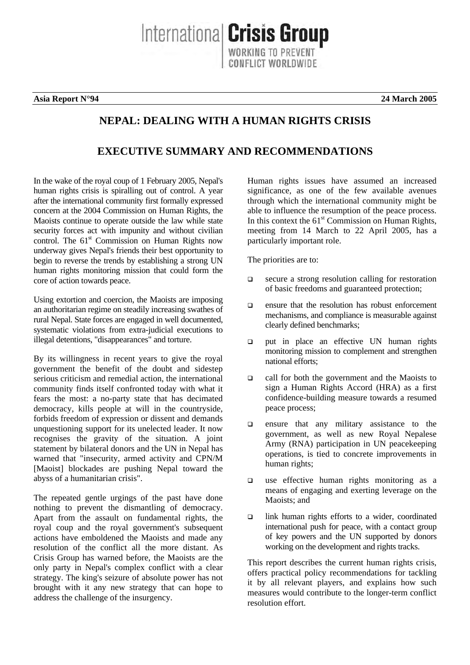**Asia Report N°94 24 March 2005** 

# Internationa **Crisis Group**

**NEPAL: DEALING WITH A HUMAN RIGHTS CRISIS** 

**EXECUTIVE SUMMARY AND RECOMMENDATIONS** 

Human rights issues have assumed an increased significance, as one of the few available avenues through which the international community might be able to influence the resumption of the peace process. In this context the  $61<sup>st</sup>$  Commission on Human Rights, meeting from 14 March to 22 April 2005, has a particularly important role.

The priorities are to:

- □ secure a strong resolution calling for restoration of basic freedoms and guaranteed protection;
- $\Box$  ensure that the resolution has robust enforcement mechanisms, and compliance is measurable against clearly defined benchmarks;
- put in place an effective UN human rights monitoring mission to complement and strengthen national efforts;
- $\Box$  call for both the government and the Maoists to sign a Human Rights Accord (HRA) as a first confidence-building measure towards a resumed peace process;
- $\Box$  ensure that any military assistance to the government, as well as new Royal Nepalese Army (RNA) participation in UN peacekeeping operations, is tied to concrete improvements in human rights;
- $\Box$  use effective human rights monitoring as a means of engaging and exerting leverage on the Maoists; and
- $\Box$  link human rights efforts to a wider, coordinated international push for peace, with a contact group of key powers and the UN supported by donors working on the development and rights tracks.

This report describes the current human rights crisis, offers practical policy recommendations for tackling it by all relevant players, and explains how such measures would contribute to the longer-term conflict resolution effort.

In the wake of the royal coup of 1 February 2005, Nepal's human rights crisis is spiralling out of control. A year after the international community first formally expressed concern at the 2004 Commission on Human Rights, the Maoists continue to operate outside the law while state security forces act with impunity and without civilian control. The 61<sup>st</sup> Commission on Human Rights now underway gives Nepal's friends their best opportunity to begin to reverse the trends by establishing a strong UN human rights monitoring mission that could form the core of action towards peace.

Using extortion and coercion, the Maoists are imposing an authoritarian regime on steadily increasing swathes of rural Nepal. State forces are engaged in well documented, systematic violations from extra-judicial executions to illegal detentions, "disappearances" and torture.

By its willingness in recent years to give the royal government the benefit of the doubt and sidestep serious criticism and remedial action, the international community finds itself confronted today with what it fears the most: a no-party state that has decimated democracy, kills people at will in the countryside, forbids freedom of expression or dissent and demands unquestioning support for its unelected leader. It now recognises the gravity of the situation. A joint statement by bilateral donors and the UN in Nepal has warned that "insecurity, armed activity and CPN/M [Maoist] blockades are pushing Nepal toward the abyss of a humanitarian crisis".

The repeated gentle urgings of the past have done nothing to prevent the dismantling of democracy. Apart from the assault on fundamental rights, the royal coup and the royal government's subsequent actions have emboldened the Maoists and made any resolution of the conflict all the more distant. As Crisis Group has warned before, the Maoists are the only party in Nepal's complex conflict with a clear strategy. The king's seizure of absolute power has not brought with it any new strategy that can hope to address the challenge of the insurgency.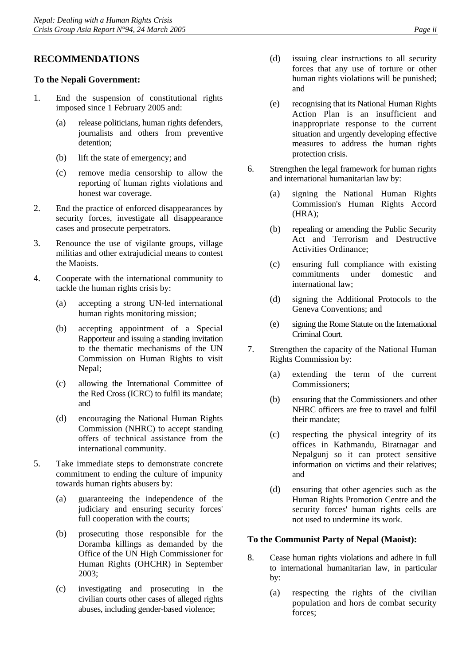## **RECOMMENDATIONS**

#### **To the Nepali Government:**

- 1. End the suspension of constitutional rights imposed since 1 February 2005 and:
	- (a) release politicians, human rights defenders, journalists and others from preventive detention;
	- (b) lift the state of emergency; and
	- (c) remove media censorship to allow the reporting of human rights violations and honest war coverage.
- 2. End the practice of enforced disappearances by security forces, investigate all disappearance cases and prosecute perpetrators.
- 3. Renounce the use of vigilante groups, village militias and other extrajudicial means to contest the Maoists.
- 4. Cooperate with the international community to tackle the human rights crisis by:
	- (a) accepting a strong UN-led international human rights monitoring mission;
	- (b) accepting appointment of a Special Rapporteur and issuing a standing invitation to the thematic mechanisms of the UN Commission on Human Rights to visit Nepal;
	- (c) allowing the International Committee of the Red Cross (ICRC) to fulfil its mandate; and
	- (d) encouraging the National Human Rights Commission (NHRC) to accept standing offers of technical assistance from the international community.
- 5. Take immediate steps to demonstrate concrete commitment to ending the culture of impunity towards human rights abusers by:
	- (a) guaranteeing the independence of the judiciary and ensuring security forces' full cooperation with the courts;
	- (b) prosecuting those responsible for the Doramba killings as demanded by the Office of the UN High Commissioner for Human Rights (OHCHR) in September 2003;
	- (c) investigating and prosecuting in the civilian courts other cases of alleged rights abuses, including gender-based violence;
- (d) issuing clear instructions to all security forces that any use of torture or other human rights violations will be punished; and
- (e) recognising that its National Human Rights Action Plan is an insufficient and inappropriate response to the current situation and urgently developing effective measures to address the human rights protection crisis.
- 6. Strengthen the legal framework for human rights and international humanitarian law by:
	- (a) signing the National Human Rights Commission's Human Rights Accord (HRA);
	- (b) repealing or amending the Public Security Act and Terrorism and Destructive Activities Ordinance;
	- (c) ensuring full compliance with existing commitments under domestic and international law;
	- (d) signing the Additional Protocols to the Geneva Conventions; and
	- (e) signing the Rome Statute on the International Criminal Court.
- 7. Strengthen the capacity of the National Human Rights Commission by:
	- (a) extending the term of the current Commissioners;
	- (b) ensuring that the Commissioners and other NHRC officers are free to travel and fulfil their mandate;
	- (c) respecting the physical integrity of its offices in Kathmandu, Biratnagar and Nepalgunj so it can protect sensitive information on victims and their relatives; and
	- (d) ensuring that other agencies such as the Human Rights Promotion Centre and the security forces' human rights cells are not used to undermine its work.

#### **To the Communist Party of Nepal (Maoist):**

- 8. Cease human rights violations and adhere in full to international humanitarian law, in particular by:
	- (a) respecting the rights of the civilian population and hors de combat security forces;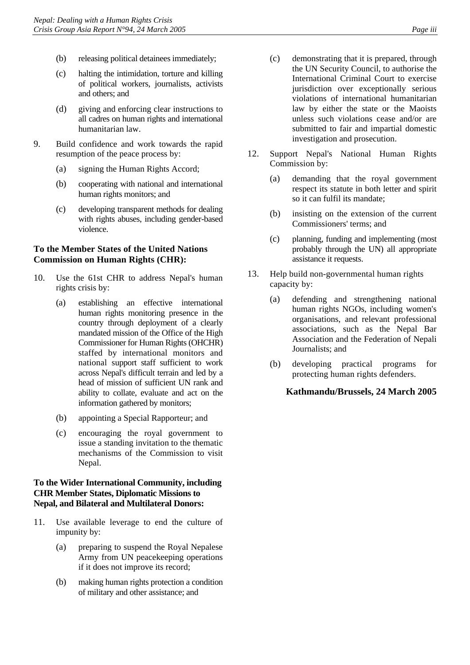- (b) releasing political detainees immediately;
- (c) halting the intimidation, torture and killing of political workers, journalists, activists and others; and
- (d) giving and enforcing clear instructions to all cadres on human rights and international humanitarian law.
- 9. Build confidence and work towards the rapid resumption of the peace process by:
	- (a) signing the Human Rights Accord;
	- (b) cooperating with national and international human rights monitors; and
	- (c) developing transparent methods for dealing with rights abuses, including gender-based violence.

#### **To the Member States of the United Nations Commission on Human Rights (CHR):**

- 10. Use the 61st CHR to address Nepal's human rights crisis by:
	- (a) establishing an effective international human rights monitoring presence in the country through deployment of a clearly mandated mission of the Office of the High Commissioner for Human Rights (OHCHR) staffed by international monitors and national support staff sufficient to work across Nepal's difficult terrain and led by a head of mission of sufficient UN rank and ability to collate, evaluate and act on the information gathered by monitors;
	- (b) appointing a Special Rapporteur; and
	- (c) encouraging the royal government to issue a standing invitation to the thematic mechanisms of the Commission to visit Nepal.

#### **To the Wider International Community, including CHR Member States, Diplomatic Missions to Nepal, and Bilateral and Multilateral Donors:**

- 11. Use available leverage to end the culture of impunity by:
	- (a) preparing to suspend the Royal Nepalese Army from UN peacekeeping operations if it does not improve its record;
	- (b) making human rights protection a condition of military and other assistance; and
- (c) demonstrating that it is prepared, through the UN Security Council, to authorise the International Criminal Court to exercise jurisdiction over exceptionally serious violations of international humanitarian law by either the state or the Maoists unless such violations cease and/or are submitted to fair and impartial domestic investigation and prosecution.
- 12. Support Nepal's National Human Rights Commission by:
	- (a) demanding that the royal government respect its statute in both letter and spirit so it can fulfil its mandate;
	- (b) insisting on the extension of the current Commissioners' terms; and
	- (c) planning, funding and implementing (most probably through the UN) all appropriate assistance it requests.
- 13. Help build non-governmental human rights capacity by:
	- (a) defending and strengthening national human rights NGOs, including women's organisations, and relevant professional associations, such as the Nepal Bar Association and the Federation of Nepali Journalists; and
	- (b) developing practical programs for protecting human rights defenders.

## **Kathmandu/Brussels, 24 March 2005**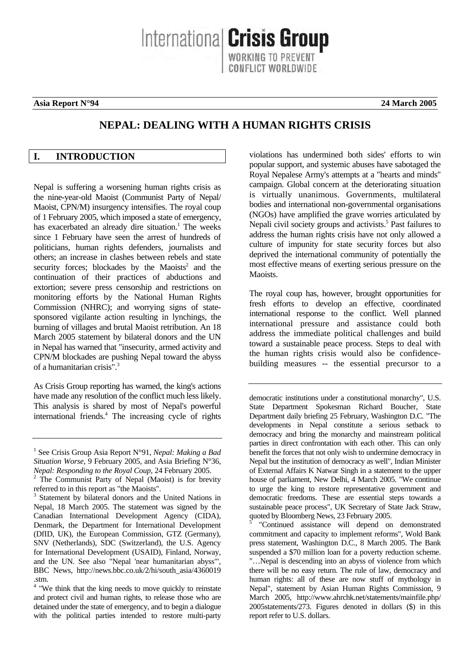<span id="page-5-0"></span>**Asia Report N°94 24 March 2005** 

# **NEPAL: DEALING WITH A HUMAN RIGHTS CRISIS**

Internationa **Crisis Group** 

## **I. INTRODUCTION**

Nepal is suffering a worsening human rights crisis as the nine-year-old Maoist (Communist Party of Nepal/ Maoist, CPN/M) insurgency intensifies. The royal coup of 1 February 2005, which imposed a state of emergency, hasexacerbated an already dire situation.<sup>1</sup> The weeks since 1 February have seen the arrest of hundreds of politicians, human rights defenders, journalists and others; an increase in clashes between rebels and state security forces; blockades by the Maoists<sup>[2](#page-5-2)</sup> and the continuation of their practices of abductions and extortion; severe press censorship and restrictions on monitoring efforts by the National Human Rights Commission (NHRC); and worrying signs of statesponsored vigilante action resulting in lynchings, the burning of villages and brutal Maoist retribution. An 18 March 2005 statement by bilateral donors and the UN in Nepal has warned that "insecurity, armed activity and CPN/M blockades are pushing Nepal toward the abyss of a humanitarian crisis".[3](#page-5-3)

As Crisis Group reporting has warned, the king's actions have made any resolution of the conflict much less likely. This analysis is shared by most of Nepal's powerful internationalfriends.<sup>4</sup> The increasing cycle of rights violations has undermined both sides' efforts to win popular support, and systemic abuses have sabotaged the Royal Nepalese Army's attempts at a "hearts and minds" campaign. Global concern at the deteriorating situation is virtually unanimous. Governments, multilateral bodies and international non-governmental organisations (NGOs) have amplified the grave worries articulated by Nepali civil society groups and activists.<sup>5</sup> [P](#page-5-5)ast failures to address the human rights crisis have not only allowed a culture of impunity for state security forces but also deprived the international community of potentially the most effective means of exerting serious pressure on the Maoists.

The royal coup has, however, brought opportunities for fresh efforts to develop an effective, coordinated international response to the conflict. Well planned international pressure and assistance could both address the immediate political challenges and build toward a sustainable peace process. Steps to deal with the human rights crisis would also be confidencebuilding measures -- the essential precursor to a

democratic institutions under a constitutional monarchy", U.S. State Department Spokesman Richard Boucher, State Department daily briefing 25 February, Washington D.C. "The developments in Nepal constitute a serious setback to democracy and bring the monarchy and mainstream political parties in direct confrontation with each other. This can only benefit the forces that not only wish to undermine democracy in Nepal but the institution of democracy as well", Indian Minister of External Affairs K Natwar Singh in a statement to the upper house of parliament, New Delhi, 4 March 2005. "We continue to urge the king to restore representative government and democratic freedoms. These are essential steps towards a sustainable peace process", UK Secretary of State Jack Straw, quoted by Bloomberg News, 23 February 2005.

<span id="page-5-5"></span>5 "Continued assistance will depend on demonstrated commitment and capacity to implement reforms", Wold Bank press statement, Washington D.C., 8 March 2005. The Bank suspended a \$70 million loan for a poverty reduction scheme. "…Nepal is descending into an abyss of violence from which there will be no easy return. The rule of law, democracy and human rights: all of these are now stuff of mythology in Nepal", statement by Asian Human Rights Commission, 9 March 2005, [http://www.ahrchk.net/statements/mainfile.php/](http://www.ahrchk.net/statements/mainfile.php/2005statements/273)  [2005statements/273](http://www.ahrchk.net/statements/mainfile.php/2005statements/273). Figures denoted in dollars (\$) in this report refer to U.S. dollars.

<span id="page-5-1"></span><sup>&</sup>lt;sup>1</sup> See Crisis Group Asia Report N°91, *Nepal: Making a Bad Situation Worse*, 9 February 2005, and Asia Briefing N°36, *Nepal: Responding to the Royal Coup*, 24 February 2005.

<span id="page-5-2"></span>The Communist Party of Nepal (Maoist) is for brevity referred to in this report as "the Maoists".

<span id="page-5-3"></span><sup>&</sup>lt;sup>3</sup> Statement by bilateral donors and the United Nations in Nepal, 18 March 2005. The statement was signed by the Canadian International Development Agency (CIDA), Denmark, the Department for International Development (DfID, UK), the European Commission, GTZ (Germany), SNV (Netherlands), SDC (Switzerland), the U.S. Agency for International Development (USAID), Finland, Norway, and the UN. See also "Nepal 'near humanitarian abyss'", BBC News, http://news.bbc.co.uk/2/hi/south\_asia/4360019

<span id="page-5-4"></span><sup>.</sup>stm. 4 "We think that the king needs to move quickly to reinstate and protect civil and human rights, to release those who are detained under the state of emergency, and to begin a dialogue with the political parties intended to restore multi-party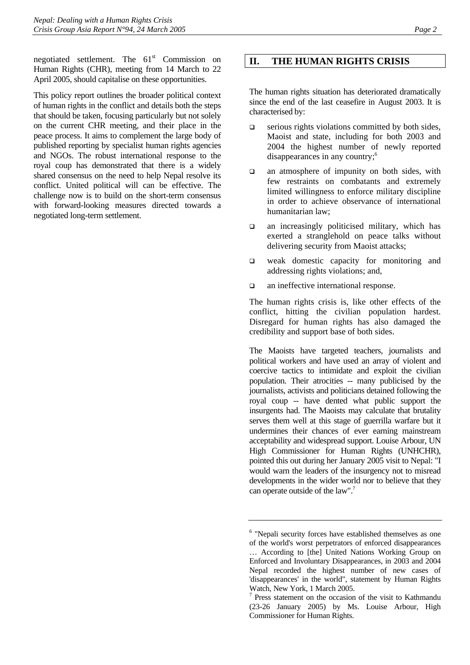<span id="page-6-0"></span>negotiated settlement. The  $61<sup>st</sup>$  Commission on Human Rights (CHR), meeting from 14 March to 22 April 2005, should capitalise on these opportunities.

This policy report outlines the broader political context of human rights in the conflict and details both the steps that should be taken, focusing particularly but not solely on the current CHR meeting, and their place in the peace process. It aims to complement the large body of published reporting by specialist human rights agencies and NGOs. The robust international response to the royal coup has demonstrated that there is a widely shared consensus on the need to help Nepal resolve its conflict. United political will can be effective. The challenge now is to build on the short-term consensus with forward-looking measures directed towards a negotiated long-term settlement.

#### **II. THE HUMAN RIGHTS CRISIS**

The human rights situation has deteriorated dramatically since the end of the last ceasefire in August 2003. It is characterised by:

- $\Box$  serious rights violations committed by both sides, Maoist and state, including for both 2003 and 2004 the highest number of newly reported disappearances in any country;<sup>6</sup>
- $\Box$  an atmosphere of impunity on both sides, with few restraints on combatants and extremely limited willingness to enforce military discipline in order to achieve observance of international humanitarian law;
- $\Box$  an increasingly politicised military, which has exerted a stranglehold on peace talks without delivering security from Maoist attacks;
- weak domestic capacity for monitoring and addressing rights violations; and,
- $\Box$  an ineffective international response.

The human rights crisis is, like other effects of the conflict, hitting the civilian population hardest. Disregard for human rights has also damaged the credibility and support base of both sides.

The Maoists have targeted teachers, journalists and political workers and have used an array of violent and coercive tactics to intimidate and exploit the civilian population. Their atrocities -- many publicised by the journalists, activists and politicians detained following the royal coup -- have dented what public support the insurgents had. The Maoists may calculate that brutality serves them well at this stage of guerrilla warfare but it undermines their chances of ever earning mainstream acceptability and widespread support. Louise Arbour, UN High Commissioner for Human Rights (UNHCHR), pointed this out during her January 2005 visit to Nepal: "I would warn the leaders of the insurgency not to misread developments in the wider world nor to believe that they can operate outside of the law".[7](#page-6-2)

<span id="page-6-1"></span><sup>&</sup>lt;sup>6</sup> "Nepali security forces have established themselves as one of the world's worst perpetrators of enforced disappearances … According to [the] United Nations Working Group on Enforced and Involuntary Disappearances, in 2003 and 2004 Nepal recorded the highest number of new cases of 'disappearances' in the world", statement by Human Rights Watch, New York, 1 March 2005.

<span id="page-6-2"></span><sup>7</sup> Press statement on the occasion of the visit to Kathmandu (23-26 January 2005) by Ms. Louise Arbour, High Commissioner for Human Rights.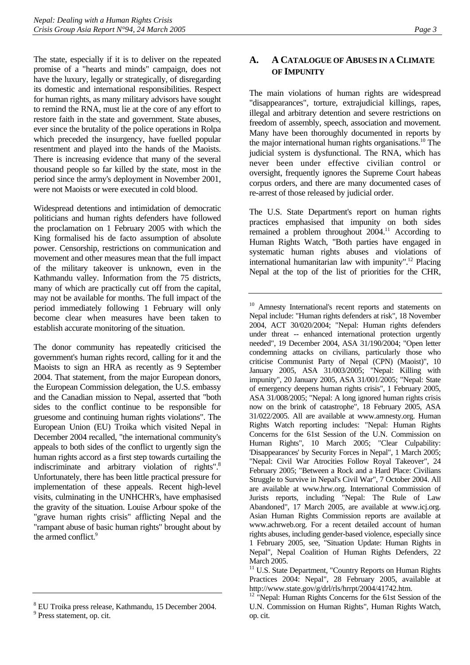<span id="page-7-0"></span>The state, especially if it is to deliver on the repeated promise of a "hearts and minds" campaign, does not have the luxury, legally or strategically, of disregarding its domestic and international responsibilities. Respect for human rights, as many military advisors have sought to remind the RNA, must lie at the core of any effort to restore faith in the state and government. State abuses, ever since the brutality of the police operations in Rolpa which preceded the insurgency, have fuelled popular resentment and played into the hands of the Maoists. There is increasing evidence that many of the several thousand people so far killed by the state, most in the period since the army's deployment in November 2001, were not Maoists or were executed in cold blood.

Widespread detentions and intimidation of democratic politicians and human rights defenders have followed the proclamation on 1 February 2005 with which the King formalised his de facto assumption of absolute power. Censorship, restrictions on communication and movement and other measures mean that the full impact of the military takeover is unknown, even in the Kathmandu valley. Information from the 75 districts, many of which are practically cut off from the capital, may not be available for months. The full impact of the period immediately following 1 February will only become clear when measures have been taken to establish accurate monitoring of the situation.

The donor community has repeatedly criticised the government's human rights record, calling for it and the Maoists to sign an HRA as recently as 9 September 2004. That statement, from the major European donors, the European Commission delegation, the U.S. embassy and the Canadian mission to Nepal, asserted that "both sides to the conflict continue to be responsible for gruesome and continuing human rights violations". The European Union (EU) Troika which visited Nepal in December 2004 recalled, "the international community's appeals to both sides of the conflict to urgently sign the human rights accord as a first step towards curtailing the indiscriminate and arbitrary violation of rights".<sup>8</sup> Unfortunately, there has been little practical pressure for implementation of these appeals. Recent high-level visits, culminating in the UNHCHR's, have emphasised the gravity of the situation. Louise Arbour spoke of the "grave human rights crisis" afflicting Nepal and the "rampant abuse of basic human rights" brought about by the armed conflict.<sup>[9](#page-7-2)</sup>

## **A. A CATALOGUE OF ABUSES IN A CLIMATE OF IMPUNITY**

The main violations of human rights are widespread "disappearances", torture, extrajudicial killings, rapes, illegal and arbitrary detention and severe restrictions on freedom of assembly, speech, association and movement. Many have been thoroughly documented in reports by the major international human rights organisations.<sup>10</sup> [The](#page-7-3) judicial system is dysfunctional. The RNA, which has never been under effective civilian control or oversight, frequently ignores the Supreme Court habeas corpus orders, and there are many documented cases of re-arrest of those released by judicial order.

The U.S. State Department's report on human rights practices emphasised that impunity on both sides remained a problem throughout 2004.<sup>11</sup> According to Human Rights Watch, "Both parties have engaged in systematic human rights abuses and violations of international humanitarian law with impunity[".12](#page-7-5) Placing Nepal at the top of the list of priorities for the CHR,

<span id="page-7-3"></span>10 Amnesty International's recent reports and statements on Nepal include: "Human rights defenders at risk", 18 November 2004, ACT 30/020/2004; "Nepal: Human rights defenders under threat -- enhanced international protection urgently needed", 19 December 2004, ASA 31/190/2004; "Open letter condemning attacks on civilians, particularly those who criticise Communist Party of Nepal (CPN) (Maoist)", 10 January 2005, ASA 31/003/2005; "Nepal: Killing with impunity", 20 January 2005, ASA 31/001/2005; "Nepal: State of emergency deepens human rights crisis", 1 February 2005, ASA 31/008/2005; "Nepal: A long ignored human rights crisis now on the brink of catastrophe", 18 February 2005, ASA 31/022/2005. All are available at [www.amnesty.org](http://www.amnesty.org/). Human Rights Watch reporting includes: "Nepal: Human Rights Concerns for the 61st Session of the U.N. Commission on Human Rights", 10 March 2005; "Clear Culpability: 'Disappearances' by Security Forces in Nepal", 1 March 2005; "Nepal: Civil War Atrocities Follow Royal Takeover", 24 February 2005; "Between a Rock and a Hard Place: Civilians Struggle to Survive in Nepal's Civil War", 7 October 2004. All are available at [www.hrw.org](http://www.hrw.org/). International Commission of Jurists reports, including "Nepal: The Rule of Law Abandoned", 17 March 2005, are available at [www.icj.org.](http://www.icj.org/) Asian Human Rights Commission reports are available at [www.achrweb.org.](http://www.achrweb.org/) For a recent detailed account of human rights abuses, including gender-based violence, especially since 1 February 2005, see, "Situation Update: Human Rights in Nepal", Nepal Coalition of Human Rights Defenders, 22 March 2005.

<span id="page-7-1"></span><sup>8</sup> EU Troika press release, Kathmandu, 15 December 2004.

<span id="page-7-2"></span><sup>&</sup>lt;sup>9</sup> Press statement, op. cit.

<span id="page-7-4"></span><sup>&</sup>lt;sup>11</sup> U.S. State Department, "Country Reports on Human Rights Practices 2004: Nepal", 28 February 2005, available at http://www.state.gov/g/drl/rls/hrrpt/2004/41742.htm.

<span id="page-7-5"></span><sup>&</sup>lt;sup>12</sup> "Nepal: Human Rights Concerns for the 61st Session of the U.N. Commission on Human Rights", Human Rights Watch, op. cit.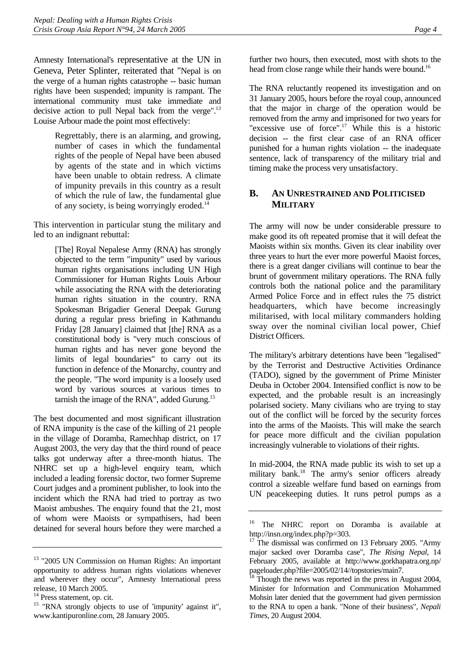<span id="page-8-0"></span>Amnesty International's representative at the UN in Geneva, Peter Splinter, reiterated that "Nepal is on the verge of a human rights catastrophe -- basic human rights have been suspended; impunity is rampant. The international community must take immediate and decisive action to pull Nepal back from the verge".<sup>13</sup> Louise Arbour made the point most effectively:

> Regrettably, there is an alarming, and growing, number of cases in which the fundamental rights of the people of Nepal have been abused by agents of the state and in which victims have been unable to obtain redress. A climate of impunity prevails in this country as a result of which the rule of law, the fundamental glue of any society, is being worryingly eroded.<sup>[14](#page-8-2)</sup>

This intervention in particular stung the military and led to an indignant rebuttal:

> [The] Royal Nepalese Army (RNA) has strongly objected to the term "impunity" used by various human rights organisations including UN High Commissioner for Human Rights Louis Arbour while associating the RNA with the deteriorating human rights situation in the country. RNA Spokesman Brigadier General Deepak Gurung during a regular press briefing in Kathmandu Friday [28 January] claimed that [the] RNA as a constitutional body is "very much conscious of human rights and has never gone beyond the limits of legal boundaries" to carry out its function in defence of the Monarchy, country and the people. "The word impunity is a loosely used word by various sources at various times to tarnish the image of the RNA", added Gurung[.15](#page-8-3)

The best documented and most significant illustration of RNA impunity is the case of the killing of 21 people in the village of Doramba, Ramechhap district, on 17 August 2003, the very day that the third round of peace talks got underway after a three-month hiatus. The NHRC set up a high-level enquiry team, which included a leading forensic doctor, two former Supreme Court judges and a prominent publisher, to look into the incident which the RNA had tried to portray as two Maoist ambushes. The enquiry found that the 21, most of whom were Maoists or sympathisers, had been detained for several hours before they were marched a further two hours, then executed, most with shots to the head from close range while their hands were bound.<sup>[16](#page-8-4)</sup>

The RNA reluctantly reopened its investigation and on 31 January 2005, hours before the royal coup, announced that the major in charge of the operation would be removed from the army and imprisoned for two years for "excessive use of force".<sup>17</sup> While this is a historic decision -- the first clear case of an RNA officer punished for a human rights violation -- the inadequate sentence, lack of transparency of the military trial and timing make the process very unsatisfactory.

#### **B. AN UNRESTRAINED AND POLITICISED MILITARY**

The army will now be under considerable pressure to make good its oft repeated promise that it will defeat the Maoists within six months. Given its clear inability over three years to hurt the ever more powerful Maoist forces, there is a great danger civilians will continue to bear the brunt of government military operations. The RNA fully controls both the national police and the paramilitary Armed Police Force and in effect rules the 75 district headquarters, which have become increasingly militarised, with local military commanders holding sway over the nominal civilian local power, Chief District Officers.

The military's arbitrary detentions have been "legalised" by the Terrorist and Destructive Activities Ordinance (TADO), signed by the government of Prime Minister Deuba in October 2004. Intensified conflict is now to be expected, and the probable result is an increasingly polarised society. Many civilians who are trying to stay out of the conflict will be forced by the security forces into the arms of the Maoists. This will make the search for peace more difficult and the civilian population increasingly vulnerable to violations of their rights.

In mid-2004, the RNA made public its wish to set up a military bank.<sup>18</sup> The army's senior officers already control a sizeable welfare fund based on earnings from UN peacekeeping duties. It runs petrol pumps as a

<span id="page-8-1"></span><sup>&</sup>lt;sup>13</sup> "2005 UN Commission on Human Rights: An important opportunity to address human rights violations whenever and wherever they occur", Amnesty International press release, 10 March 2005.

<span id="page-8-2"></span><sup>&</sup>lt;sup>14</sup> Press statement, op. cit.

<span id="page-8-3"></span><sup>&</sup>lt;sup>15</sup> "RNA strongly objects to use of 'impunity' against it", [www.kantipuronline.com,](http://www.kantipuronline.com/) 28 January 2005.

<span id="page-8-4"></span><sup>&</sup>lt;sup>16</sup> The NHRC report on Doramba is available at http://insn.org/index.php?p=303.

<span id="page-8-5"></span> $17$  The dismissal was confirmed on 13 February 2005. "Army major sacked over Doramba case", *The Rising Nepal,* 14 February 2005, available at http://www.gorkhapatra.org.np/ pageloader.php?file=2005/02/14//topstories/main7.<br><sup>18</sup> Though 4.

<span id="page-8-6"></span>Though the news was reported in the press in August 2004, Minister for Information and Communication Mohammed Mohsin later denied that the government had given permission to the RNA to open a bank. "None of their business", *Nepali Times*, 20 August 2004.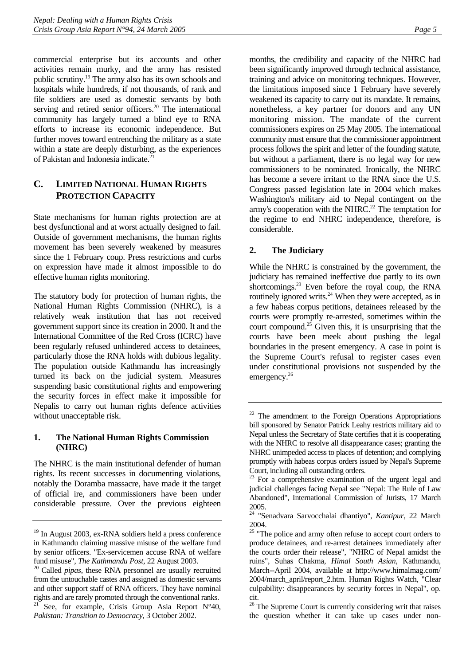<span id="page-9-0"></span>commercial enterprise but its accounts and other activities remain murky, and the army has resisted public scrutiny[.19 T](#page-9-1)he army also has its own schools and hospitals while hundreds, if not thousands, of rank and file soldiers are used as domestic servants by both serving and retired senior officers.<sup>20</sup> The international community has largely turned a blind eye to RNA efforts to increase its economic independence. But further moves toward entrenching the military as a state within a state are deeply disturbing, as the experiences of Pakistan and Indonesia indicate.<sup>[21](#page-9-3)</sup>

## **C. LIMITED NATIONAL HUMAN RIGHTS PROTECTION CAPACITY**

State mechanisms for human rights protection are at best dysfunctional and at worst actually designed to fail. Outside of government mechanisms, the human rights movement has been severely weakened by measures since the 1 February coup. Press restrictions and curbs on expression have made it almost impossible to do effective human rights monitoring.

The statutory body for protection of human rights, the National Human Rights Commission (NHRC), is a relatively weak institution that has not received government support since its creation in 2000. It and the International Committee of the Red Cross (ICRC) have been regularly refused unhindered access to detainees, particularly those the RNA holds with dubious legality. The population outside Kathmandu has increasingly turned its back on the judicial system. Measures suspending basic constitutional rights and empowering the security forces in effect make it impossible for Nepalis to carry out human rights defence activities without unacceptable risk.

#### **1. The National Human Rights Commission (NHRC)**

The NHRC is the main institutional defender of human rights. Its recent successes in documenting violations, notably the Doramba massacre, have made it the target of official ire, and commissioners have been under considerable pressure. Over the previous eighteen months, the credibility and capacity of the NHRC had been significantly improved through technical assistance, training and advice on monitoring techniques. However, the limitations imposed since 1 February have severely weakened its capacity to carry out its mandate. It remains, nonetheless, a key partner for donors and any UN monitoring mission. The mandate of the current commissioners expires on 25 May 2005. The international community must ensure that the commissioner appointment process follows the spirit and letter of the founding statute, but without a parliament, there is no legal way for new commissioners to be nominated. Ironically, the NHRC has become a severe irritant to the RNA since the U.S. Congress passed legislation late in 2004 which makes Washington's military aid to Nepal contingent on the army's cooperation with the NHRC.<sup>22</sup> [Th](#page-9-4)e temptation for the regime to end NHRC independence, therefore, is considerable.

## **2. The Judiciary**

While the NHRC is constrained by the government, the judiciary has remained ineffective due partly to its own shortcomings.<sup>23</sup> Even before the royal coup, the RNA routinely ignored writs.<sup>24</sup> When they were accepted, as in a few habeas corpus petitions, detainees released by the courts were promptly re-arrested, sometimes within the court compound.<sup>25</sup> Given this, it is unsurprising that the courts have been meek about pushing the legal boundaries in the present emergency. A case in point is the Supreme Court's refusal to register cases even under constitutional provisions not suspended by the emergency.<sup>26</sup>

<span id="page-9-1"></span><sup>19</sup> In August 2003, ex-RNA soldiers held a press conference in Kathmandu claiming massive misuse of the welfare fund by senior officers. "Ex-servicemen accuse RNA of welfare

<span id="page-9-3"></span><span id="page-9-2"></span>fund misuse", *The Kathmandu Post*, 22 August 2003. 20 Called *pipas*, these RNA personnel are usually recruited from the untouchable castes and assigned as domestic servants and other support staff of RNA officers. They have nominal rights and are rarely promoted through the conventional ranks. See, for example, Crisis Group Asia Report  $N°40$ , *Pakistan: Transition to Democracy*, 3 October 2002.

<span id="page-9-4"></span><sup>&</sup>lt;sup>22</sup> The amendment to the Foreign Operations Appropriations bill sponsored by Senator Patrick Leahy restricts military aid to Nepal unless the Secretary of State certifies that it is cooperating with the NHRC to resolve all disappearance cases; granting the NHRC unimpeded access to places of detention; and complying promptly with habeas corpus orders issued by Nepal's Supreme Court, including all outstanding orders.

<span id="page-9-5"></span><sup>&</sup>lt;sup>23</sup> For a comprehensive examination of the urgent legal and judicial challenges facing Nepal see "Nepal: The Rule of Law Abandoned", International Commission of Jurists, 17 March 2005.

<span id="page-9-6"></span><sup>24 &</sup>quot;Senadvara Sarvocchalai dhantiyo", *Kantipur*, 22 March 2004.

<span id="page-9-7"></span> $25$  "The police and army often refuse to accept court orders to produce detainees, and re-arrest detainees immediately after the courts order their release", "NHRC of Nepal amidst the ruins", Suhas Chakma, *Himal South Asian*, Kathmandu, March--April 2004, available at http://www.himalmag.com/ 2004/march\_april/report\_2.htm. Human Rights Watch, "Clear culpability: disappearances by security forces in Nepal", op. cit.

<span id="page-9-8"></span><sup>&</sup>lt;sup>26</sup> The Supreme Court is currently considering writ that raises the question whether it can take up cases under non-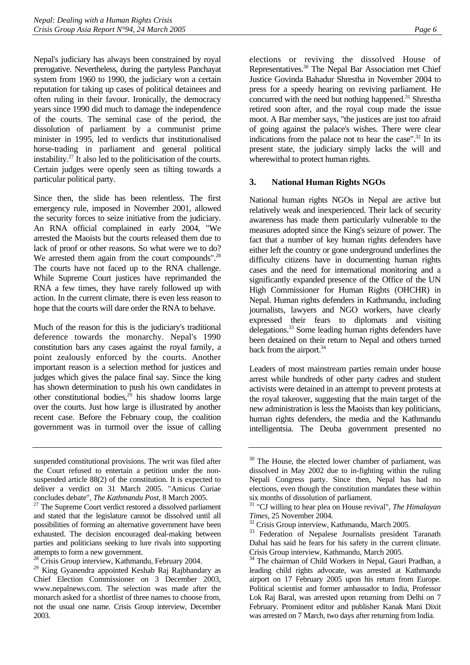<span id="page-10-0"></span>Nepal's judiciary has always been constrained by royal prerogative. Nevertheless, during the partyless Panchayat system from 1960 to 1990, the judiciary won a certain reputation for taking up cases of political detainees and often ruling in their favour. Ironically, the democracy years since 1990 did much to damage the independence of the courts. The seminal case of the period, the dissolution of parliament by a communist prime minister in 1995, led to verdicts that institutionalised horse-trading in parliament and general political instability[.27 I](#page-10-1)t also led to the politicisation of the courts. Certain judges were openly seen as tilting towards a particular political party.

Since then, the slide has been relentless. The first emergency rule, imposed in November 2001, allowed the security forces to seize initiative from the judiciary. An RNA official complained in early 2004, "We arrested the Maoists but the courts released them due to lack of proof or other reasons. So what were we to do? We arrested them again from the court compounds".<sup>28</sup> The courts have not faced up to the RNA challenge. While Supreme Court justices have reprimanded the RNA a few times, they have rarely followed up with action. In the current climate, there is even less reason to hope that the courts will dare order the RNA to behave.

Much of the reason for this is the judiciary's traditional deference towards the monarchy. Nepal's 1990 constitution bars any cases against the royal family, a point zealously enforced by the courts. Another important reason is a selection method for justices and judges which gives the palace final say. Since the king has shown determination to push his own candidates in other constitutional bodies, $2^5$  his shadow looms large over the courts. Just how large is illustrated by another recent case. Before the February coup, the coalition government was in turmoil over the issue of calling

elections or reviving the dissolved House of Representatives[.30](#page-10-4) The Nepal Bar Association met Chief Justice Govinda Bahadur Shrestha in November 2004 to press for a speedy hearing on reviving parliament. He concurred with the need but nothing happened.<sup>31</sup> Shre[stha](#page-10-5) retired soon after, and the royal coup made the issue moot. A Bar member says, "the justices are just too afraid of going against the palace's wishes. There were clear indications from the palace not to hear the case".<sup>32</sup> In its present state, the judiciary simply lacks the will and wherewithal to protect human rights.

#### **3. National Human Rights NGOs**

National human rights NGOs in Nepal are active but relatively weak and inexperienced. Their lack of security awareness has made them particularly vulnerable to the measures adopted since the King's seizure of power. The fact that a number of key human rights defenders have either left the country or gone underground underlines the difficulty citizens have in documenting human rights cases and the need for international monitoring and a significantly expanded presence of the Office of the UN High Commissioner for Human Rights (OHCHR) in Nepal. Human rights defenders in Kathmandu, including journalists, lawyers and NGO workers, have clearly expressed their fears to diplomats and visiting delegations[.33](#page-10-7) Some leading human rights defenders have been detained on their return to Nepal and others turned back from the airport.<sup>34</sup>

Leaders of most mainstream parties remain under house arrest while hundreds of other party cadres and student activists were detained in an attempt to prevent protests at the royal takeover, suggesting that the main target of the new administration is less the Maoists than key politicians, human rights defenders, the media and the Kathmandu intelligentsia. The Deuba government presented no

suspended constitutional provisions. The writ was filed after the Court refused to entertain a petition under the nonsuspended article 88(2) of the constitution. It is expected to deliver a verdict on 31 March 2005. "Amicus Curiae concludes debate", *The Kathmandu Post*, 8 March 2005. 27 The Supreme Court verdict restored a dissolved parliament

<span id="page-10-1"></span>and stated that the legislature cannot be dissolved until all possibilities of forming an alternative government have been exhausted. The decision encouraged deal-making between parties and politicians seeking to lure rivals into supporting attempts to form a new government.

<span id="page-10-2"></span><sup>28</sup> Crisis Group interview, Kathmandu, February 2004.

<span id="page-10-3"></span><sup>&</sup>lt;sup>29</sup> King Gyanendra appointed Keshab Raj Rajbhandary as Chief Election Commissioner on 3 December 2003, www.nepalnews.com. The selection was made after the monarch asked for a shortlist of three names to choose from, not the usual one name. Crisis Group interview, December 2003.

<span id="page-10-4"></span><sup>&</sup>lt;sup>30</sup> The House, the elected lower chamber of parliament, was dissolved in May 2002 due to in-fighting within the ruling Nepali Congress party. Since then, Nepal has had no elections, even though the constitution mandates these within six months of dissolution of parliament.

<span id="page-10-5"></span><sup>31 &</sup>quot;CJ willing to hear plea on House revival", *The Himalayan Times*, 25 November 2004.<br><sup>32</sup> Crisis Group interview, Kathmandu, March 2005.

<span id="page-10-6"></span>

<span id="page-10-7"></span><sup>&</sup>lt;sup>33</sup> Federation of Nepalese Journalists president Taranath Dahal has said he fears for his safety in the current climate. Crisis Group interview, Kathmandu, March 2005.

<span id="page-10-8"></span><sup>&</sup>lt;sup>34</sup> The chairman of Child Workers in Nepal, Gauri Pradhan, a leading child rights advocate, was arrested at Kathmandu airport on 17 February 2005 upon his return from Europe. Political scientist and former ambassador to India, Professor Lok Raj Baral, was arrested upon returning from Delhi on 7 February. Prominent editor and publisher Kanak Mani Dixit was arrested on 7 March, two days after returning from India.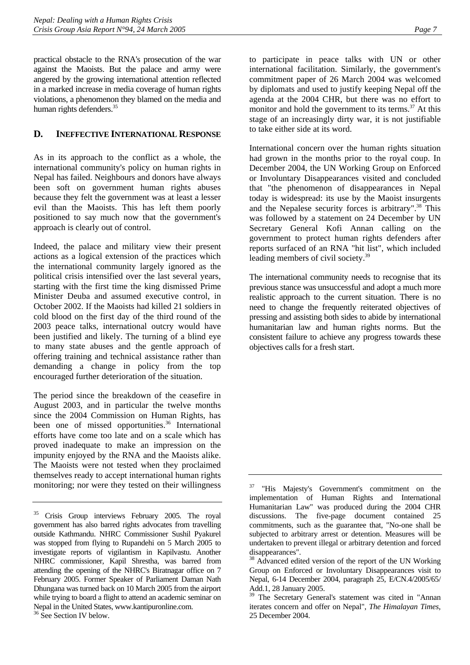<span id="page-11-0"></span>practical obstacle to the RNA's prosecution of the war against the Maoists. But the palace and army were angered by the growing international attention reflected in a marked increase in media coverage of human rights violations, a phenomenon they blamed on the media and human rights defenders.<sup>35</sup>

## **D. INEFFECTIVE INTERNATIONAL RESPONSE**

As in its approach to the conflict as a whole, the international community's policy on human rights in Nepal has failed. Neighbours and donors have always been soft on government human rights abuses because they felt the government was at least a lesser evil than the Maoists. This has left them poorly positioned to say much now that the government's approach is clearly out of control.

Indeed, the palace and military view their present actions as a logical extension of the practices which the international community largely ignored as the political crisis intensified over the last several years, starting with the first time the king dismissed Prime Minister Deuba and assumed executive control, in October 2002. If the Maoists had killed 21 soldiers in cold blood on the first day of the third round of the 2003 peace talks, international outcry would have been justified and likely. The turning of a blind eye to many state abuses and the gentle approach of offering training and technical assistance rather than demanding a change in policy from the top encouraged further deterioration of the situation.

The period since the breakdown of the ceasefire in August 2003, and in particular the twelve months since the 2004 Commission on Human Rights, has been one of missed opportunities.<sup>36</sup> International efforts have come too late and on a scale which has proved inadequate to make an impression on the impunity enjoyed by the RNA and the Maoists alike. The Maoists were not tested when they proclaimed themselves ready to accept international human rights monitoring; nor were they tested on their willingness to participate in peace talks with UN or other international facilitation. Similarly, the government's commitment paper of 26 March 2004 was welcomed by diplomats and used to justify keeping Nepal off the agenda at the 2004 CHR, but there was no effort to monitor and hold the government to its terms. $37$  [At](#page-11-3) this stage of an increasingly dirty war, it is not justifiable to take either side at its word.

International concern over the human rights situation had grown in the months prior to the royal coup. In December 2004, the UN Working Group on Enforced or Involuntary Disappearances visited and concluded that "the phenomenon of disappearances in Nepal today is widespread: its use by the Maoist insurgents and the Nepalese security forces is arbitrary".<sup>38</sup> This was followed by a statement on 24 December by UN Secretary General Kofi Annan calling on the government to protect human rights defenders after reports surfaced of an RNA "hit list", which included leading members of civil society.<sup>39</sup>

The international community needs to recognise that its previous stance was unsuccessful and adopt a much more realistic approach to the current situation. There is no need to change the frequently reiterated objectives of pressing and assisting both sides to abide by international humanitarian law and human rights norms. But the consistent failure to achieve any progress towards these objectives calls for a fresh start.

<span id="page-11-1"></span><sup>&</sup>lt;sup>35</sup> Crisis Group interviews February 2005. The royal government has also barred rights advocates from travelling outside Kathmandu. NHRC Commissioner Sushil Pyakurel was stopped from flying to Rupandehi on 5 March 2005 to investigate reports of vigilantism in Kapilvastu. Another NHRC commissioner, Kapil Shrestha, was barred from attending the opening of the NHRC's Biratnagar office on 7 February 2005. Former Speaker of Parliament Daman Nath Dhungana was turned back on 10 March 2005 from the airport while trying to board a flight to attend an academic seminar on Nepal in the United States, www.kantipuronline.com.

<span id="page-11-2"></span><sup>&</sup>lt;sup>36</sup> See Section IV below.

<span id="page-11-3"></span><sup>37 &</sup>quot;His Majesty's Government's commitment on the implementation of Human Rights and International Humanitarian Law" was produced during the 2004 CHR discussions. The five-page document contained 25 commitments, such as the guarantee that, "No-one shall be subjected to arbitrary arrest or detention. Measures will be undertaken to prevent illegal or arbitrary detention and forced disappearances".

<span id="page-11-4"></span><sup>&</sup>lt;sup>38</sup> Advanced edited version of the report of the UN Working Group on Enforced or Involuntary Disappearances visit to Nepal, 6-14 December 2004, paragraph 25, E/CN.4/2005/65/ Add.1, 28 January 2005.

<span id="page-11-5"></span><sup>&</sup>lt;sup>39</sup> The Secretary General's statement was cited in "Annan iterates concern and offer on Nepal", *The Himalayan Times*, 25 December 2004.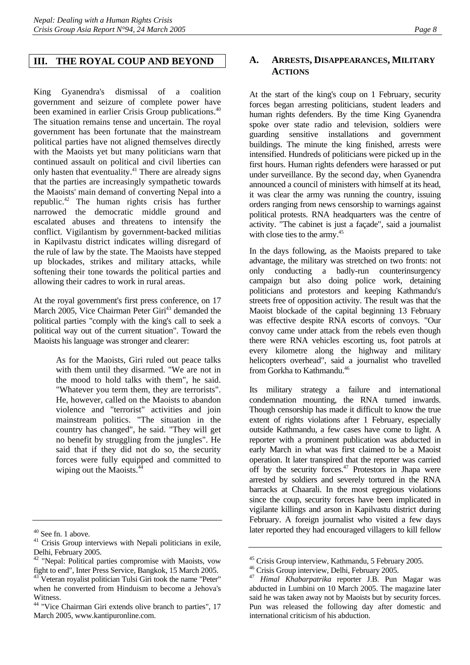#### <span id="page-12-0"></span>**III. THE ROYAL COUP AND BEYOND**

King Gyanendra's dismissal of a coalition government and seizure of complete power have been examined in earlier Crisis Group publications.<sup>40</sup> The situation remains tense and uncertain. The royal government has been fortunate that the mainstream political parties have not aligned themselves directly with the Maoists yet but many politicians warn that continued assault on political and civil liberties can only hasten that eventuality[.41 T](#page-12-2)here are already signs that the parties are increasingly sympathetic towards the Maoists' main demand of converting Nepal into a republic.[42](#page-12-3) The human rights crisis has further narrowed the democratic middle ground and escalated abuses and threatens to intensify the conflict. Vigilantism by government-backed militias in Kapilvastu district indicates willing disregard of the rule of law by the state. The Maoists have stepped up blockades, strikes and military attacks, while softening their tone towards the political parties and allowing their cadres to work in rural areas.

At the royal government's first press conference, on 17 March 2005, Vice Chairman Peter Giri<sup>43</sup> demanded the political parties "comply with the king's call to seek a political way out of the current situation". Toward the Maoists his language was stronger and clearer:

> As for the Maoists, Giri ruled out peace talks with them until they disarmed. "We are not in the mood to hold talks with them", he said. "Whatever you term them, they are terrorists". He, however, called on the Maoists to abandon violence and "terrorist" activities and join mainstream politics. "The situation in the country has changed", he said. "They will get no benefit by struggling from the jungles". He said that if they did not do so, the security forces were fully equipped and committed to wiping out the Maoists.<sup>[44](#page-12-5)</sup>

#### **A. ARRESTS, DISAPPEARANCES, MILITARY ACTIONS**

At the start of the king's coup on 1 February, security forces began arresting politicians, student leaders and human rights defenders. By the time King Gyanendra spoke over state radio and television, soldiers were guarding sensitive installations and government buildings. The minute the king finished, arrests were intensified. Hundreds of politicians were picked up in the first hours. Human rights defenders were harassed or put under surveillance. By the second day, when Gyanendra announced a council of ministers with himself at its head, it was clear the army was running the country, issuing orders ranging from news censorship to warnings against political protests. RNA headquarters was the centre of activity. "The cabinet is just a façade", said a journalist with close ties to the army.<sup>[45](#page-12-6)</sup>

In the days following, as the Maoists prepared to take advantage, the military was stretched on two fronts: not only conducting a badly-run counterinsurgency campaign but also doing police work, detaining politicians and protestors and keeping Kathmandu's streets free of opposition activity. The result was that the Maoist blockade of the capital beginning 13 February was effective despite RNA escorts of convoys. "Our convoy came under attack from the rebels even though there were RNA vehicles escorting us, foot patrols at every kilometre along the highway and military helicopters overhead", said a journalist who travelled from Gorkha to Kathmandu.<sup>46</sup>

Its military strategy a failure and international condemnation mounting, the RNA turned inwards. Though censorship has made it difficult to know the true extent of rights violations after 1 February, especially outside Kathmandu, a few cases have come to light. A reporter with a prominent publication was abducted in early March in what was first claimed to be a Maoist operation. It later transpired that the reporter was carried off by the security forces. $47$  Protestors in Jhapa were arrested by soldiers and severely tortured in the RNA barracks at Chaarali. In the most egregious violations since the coup, security forces have been implicated in vigilante killings and arson in Kapilvastu district during February. A foreign journalist who visited a few days later reported they had encouraged villagers to kill fellow

<span id="page-12-1"></span><sup>40</sup> See fn. 1 above.

<span id="page-12-2"></span><sup>&</sup>lt;sup>41</sup> Crisis Group interviews with Nepali politicians in exile, Delhi, February 2005.

<span id="page-12-3"></span><sup>&</sup>lt;sup>42</sup> "Nepal: Political parties compromise with Maoists, vow fight to end", Inter Press Service, Bangkok, 15 March 2005. 43 Veteran royalist politician Tulsi Giri took the name "Peter"

<span id="page-12-4"></span>when he converted from Hinduism to become a Jehova's Witness. <sup>44</sup> "Vice Chairman Giri extends olive branch to parties", 17

<span id="page-12-5"></span>March 2005, www.kantipuronline.com.

<span id="page-12-6"></span><sup>45</sup> Crisis Group interview, Kathmandu, 5 February 2005.

<span id="page-12-7"></span><sup>&</sup>lt;sup>46</sup> Crisis Group interview, Delhi, February 2005.

<span id="page-12-8"></span><sup>47</sup> *Himal Khabarpatrika* reporter J.B. Pun Magar was abducted in Lumbini on 10 March 2005. The magazine later said he was taken away not by Maoists but by security forces. Pun was released the following day after domestic and international criticism of his abduction.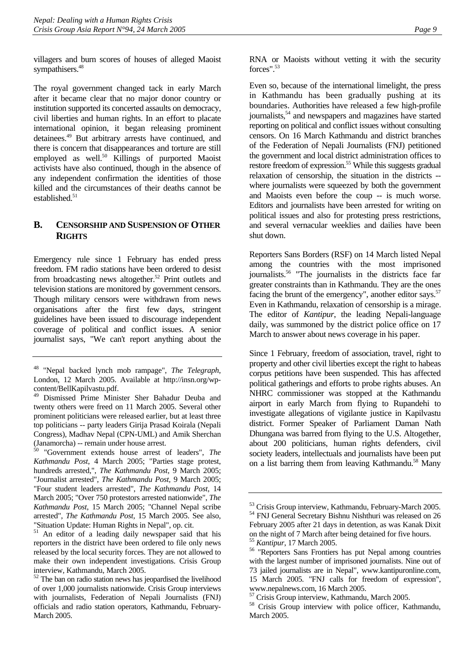<span id="page-13-0"></span>villagers and burn scores of houses of alleged Maoist sympathisers.<sup>[48](#page-13-1)</sup>

The royal government changed tack in early March after it became clear that no major donor country or institution supported its concerted assaults on democracy, civil liberties and human rights. In an effort to placate international opinion, it began releasing prominent detainees.[49](#page-13-2) But arbitrary arrests have continued, and there is concern that disappearances and torture are still employed as well.<sup>50</sup> Killings of purported Maoist activists have also continued, though in the absence of any independent confirmation the identities of those killed and the circumstances of their deaths cannot be established.<sup>[51](#page-13-4)</sup>

## **B. CENSORSHIP AND SUSPENSION OF OTHER RIGHTS**

Emergency rule since 1 February has ended press freedom. FM radio stations have been ordered to desist from broadcasting news altogether. $52$  Print outlets and television stations are monitored by government censors. Though military censors were withdrawn from news organisations after the first few days, stringent guidelines have been issued to discourage independent coverage of political and conflict issues. A senior journalist says, "We can't report anything about the

<span id="page-13-3"></span>50 "Government extends house arrest of leaders", *The Kathmandu Post*, 4 March 2005; "Parties stage protest, hundreds arrested,", *The Kathmandu Post*, 9 March 2005; "Journalist arrested", *The Kathmandu Post,* 9 March 2005; "Four student leaders arrested", *The Kathmandu Post*, 14 March 2005; "Over 750 protestors arrested nationwide", *The Kathmandu Post*, 15 March 2005; "Channel Nepal scribe arrested", *The Kathmandu Post,* 15 March 2005. See also, "Situation Update: Human Rights in Nepal", op. cit.

RNA or Maoists without vetting it with the security forces"<sup>53</sup>

Even so, because of the international limelight, the press in Kathmandu has been gradually pushing at its boundaries. Authorities have released a few high-profile journalists,<sup>54</sup> and newspapers and magazines have started reporting on political and conflict issues without consulting censors. On 16 March Kathmandu and district branches of the Federation of Nepali Journalists (FNJ) petitioned the government and local district administration offices to restore freedom of expression.<sup>55</sup> [Wh](#page-13-8)ile this suggests gradual relaxation of censorship, the situation in the districts - where journalists were squeezed by both the government and Maoists even before the coup -- is much worse. Editors and journalists have been arrested for writing on political issues and also for protesting press restrictions, and several vernacular weeklies and dailies have been shut down.

Reporters Sans Borders (RSF) on 14 March listed Nepal among the countries with the most imprisoned journalists.<sup>56</sup> "The journalists in the districts face far greater constraints than in Kathmandu. They are the ones facing the brunt of the emergency", another editor says. $57$  $57$ Even in Kathmandu, relaxation of censorship is a mirage. The editor of *Kantipur*, the leading Nepali-language daily, was summoned by the district police office on 17 March to answer about news coverage in his paper.

Since 1 February, freedom of association, travel, right to property and other civil liberties except the right to habeas corpus petitions have been suspended. This has affected political gatherings and efforts to probe rights abuses. An NHRC commissioner was stopped at the Kathmandu airport in early March from flying to Rupandehi to investigate allegations of vigilante justice in Kapilvastu district. Former Speaker of Parliament Daman Nath Dhungana was barred from flying to the U.S. Altogether, about 200 politicians, human rights defenders, civil society leaders, intellectuals and journalists have been put on a list barring them from leaving Kathmandu.<sup>58</sup> Many

<span id="page-13-1"></span><sup>48 &</sup>quot;Nepal backed lynch mob rampage", *The Telegraph*, London, 12 March 2005. Available at http://insn.org/wpcontent/BellKapilvastu.pdf.

<span id="page-13-2"></span><sup>49</sup> Dismissed Prime Minister Sher Bahadur Deuba and twenty others were freed on 11 March 2005. Several other prominent politicians were released earlier, but at least three top politicians -- party leaders Girija Prasad Koirala (Nepali Congress), Madhav Nepal (CPN-UML) and Amik Sherchan (Janamorcha) -- remain under house arrest.

<span id="page-13-4"></span><sup>&</sup>lt;sup>51</sup> An editor of a leading daily newspaper said that his reporters in the district have been ordered to file only news released by the local security forces. They are not allowed to make their own independent investigations. Crisis Group interview, Kathmandu, March 2005.

<span id="page-13-5"></span> $52$  The ban on radio station news has jeopardised the livelihood of over 1,000 journalists nationwide. Crisis Group interviews with journalists, Federation of Nepali Journalists (FNJ) officials and radio station operators, Kathmandu, February-March 2005.

<span id="page-13-7"></span><span id="page-13-6"></span><sup>53</sup> Crisis Group interview, Kathmandu, February-March 2005. 54 FNJ General Secretary Bishnu Nishthuri was released on 26 February 2005 after 21 days in detention, as was Kanak Dixit on the night of 7 March after being detained for five hours.<br><sup>55</sup> Kantipur, 17 March 2005.

<span id="page-13-9"></span><span id="page-13-8"></span>

<sup>&</sup>lt;sup>56</sup> "Reporters Sans Frontiers has put Nepal among countries with the largest number of imprisoned journalists. Nine out of 73 jailed journalists are in Nepal", www.kantipuronline.com, 15 March 2005. "FNJ calls for freedom of expression", www.nepalnews.com, 16 March 2005.

<span id="page-13-10"></span><sup>&</sup>lt;sup>57</sup> Crisis Group interview, Kathmandu, March 2005.<br><sup>58</sup> Crisis Group interview with police officer. Ka

<span id="page-13-11"></span>Crisis Group interview with police officer, Kathmandu, March 2005.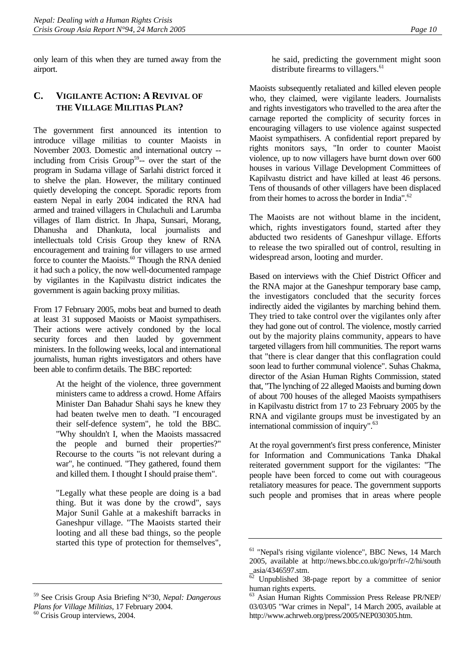<span id="page-14-0"></span>only learn of this when they are turned away from the airport.

## **C. VIGILANTE ACTION: A REVIVAL OF THE VILLAGE MILITIAS PLAN?**

The government first announced its intention to introduce village militias to counter Maoists in November 2003. Domestic and international outcry - including from Crisis Group<sup>59</sup>-- over the start of the program in Sudama village of Sarlahi district forced it to shelve the plan. However, the military continued quietly developing the concept. Sporadic reports from eastern Nepal in early 2004 indicated the RNA had armed and trained villagers in Chulachuli and Larumba villages of Ilam district. In Jhapa, Sunsari, Morang, Dhanusha and Dhankuta, local journalists and intellectuals told Crisis Group they knew of RNA encouragement and training for villagers to use armed force to counter the Maoists.<sup>60</sup> Though the RNA denied it had such a policy, the now well-documented rampage by vigilantes in the Kapilvastu district indicates the government is again backing proxy militias.

From 17 February 2005, mobs beat and burned to death at least 31 supposed Maoists or Maoist sympathisers. Their actions were actively condoned by the local security forces and then lauded by government ministers. In the following weeks, local and international journalists, human rights investigators and others have been able to confirm details. The BBC reported:

> At the height of the violence, three government ministers came to address a crowd. Home Affairs Minister Dan Bahadur Shahi says he knew they had beaten twelve men to death. "I encouraged their self-defence system", he told the BBC. "Why shouldn't I, when the Maoists massacred the people and burned their properties?" Recourse to the courts "is not relevant during a war", he continued. "They gathered, found them and killed them. I thought I should praise them".

> "Legally what these people are doing is a bad thing. But it was done by the crowd", says Major Sunil Gahle at a makeshift barracks in Ganeshpur village. "The Maoists started their looting and all these bad things, so the people started this type of protection for themselves",

<span id="page-14-2"></span>

he said, predicting the government might soon distribute firearms to villagers.<sup>[61](#page-14-3)</sup>

Maoists subsequently retaliated and killed eleven people who, they claimed, were vigilante leaders. Journalists and rights investigators who travelled to the area after the carnage reported the complicity of security forces in encouraging villagers to use violence against suspected Maoist sympathisers. A confidential report prepared by rights monitors says, "In order to counter Maoist violence, up to now villagers have burnt down over 600 houses in various Village Development Committees of Kapilvastu district and have killed at least 46 persons. Tens of thousands of other villagers have been displaced from their homes to across the border in India".<sup>62</sup>

The Maoists are not without blame in the incident, which, rights investigators found, started after they abducted two residents of Ganeshpur village. Efforts to release the two spiralled out of control, resulting in widespread arson, looting and murder.

Based on interviews with the Chief District Officer and the RNA major at the Ganeshpur temporary base camp, the investigators concluded that the security forces indirectly aided the vigilantes by marching behind them. They tried to take control over the vigilantes only after they had gone out of control. The violence, mostly carried out by the majority plains community, appears to have targeted villagers from hill communities. The report warns that "there is clear danger that this conflagration could soon lead to further communal violence". Suhas Chakma, director of the Asian Human Rights Commission, stated that, "The lynching of 22 alleged Maoists and burning down of about 700 houses of the alleged Maoists sympathisers in Kapilvastu district from 17 to 23 February 2005 by the RNA and vigilante groups must be investigated by an international commission of inquiry".<sup>63</sup>

At the royal government's first press conference, Minister for Information and Communications Tanka Dhakal reiterated government support for the vigilantes: "The people have been forced to come out with courageous retaliatory measures for peace. The government supports such people and promises that in areas where people

<span id="page-14-1"></span><sup>59</sup> See Crisis Group Asia Briefing N°30, *Nepal: Dangerous Plans for Village Militias*, 17 February 2004. 60 Crisis Group interviews, 2004.

<span id="page-14-3"></span><sup>&</sup>lt;sup>61</sup> "Nepal's rising vigilante violence", BBC News, 14 March 2005, available at http://news.bbc.co.uk/go/pr/fr/-/2/hi/south \_asia/4346597.stm.

<span id="page-14-4"></span> $62$  Unpublished 38-page report by a committee of senior human rights experts.

<span id="page-14-5"></span><sup>63</sup> Asian Human Rights Commission Press Release PR/NEP/ 03/03/05 "War crimes in Nepal", 14 March 2005, available at http://www.achrweb.org/press/2005/NEP030305.htm.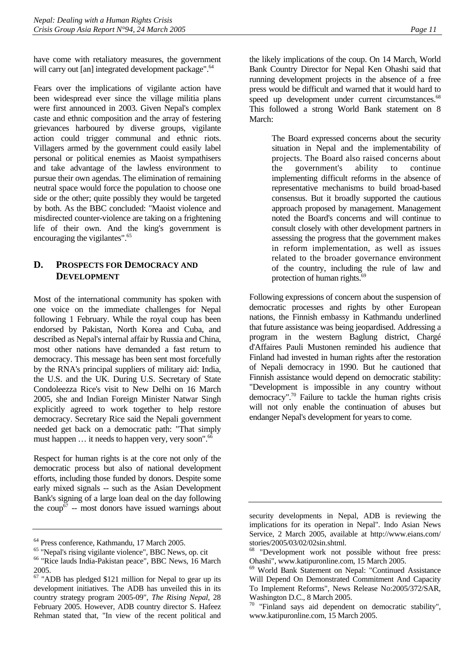<span id="page-15-0"></span>have come with retaliatory measures, the government will carry out [an] integrated development package".<sup>[64](#page-15-1)</sup>

Fears over the implications of vigilante action have been widespread ever since the village militia plans were first announced in 2003. Given Nepal's complex caste and ethnic composition and the array of festering grievances harboured by diverse groups, vigilante action could trigger communal and ethnic riots. Villagers armed by the government could easily label personal or political enemies as Maoist sympathisers and take advantage of the lawless environment to pursue their own agendas. The elimination of remaining neutral space would force the population to choose one side or the other; quite possibly they would be targeted by both. As the BBC concluded: "Maoist violence and misdirected counter-violence are taking on a frightening life of their own. And the king's government is encouraging the vigilantes".<sup>[65](#page-15-2)</sup>

## **D. PROSPECTS FOR DEMOCRACY AND DEVELOPMENT**

Most of the international community has spoken with one voice on the immediate challenges for Nepal following 1 February. While the royal coup has been endorsed by Pakistan, North Korea and Cuba, and described as Nepal's internal affair by Russia and China, most other nations have demanded a fast return to democracy. This message has been sent most forcefully by the RNA's principal suppliers of military aid: India, the U.S. and the UK. During U.S. Secretary of State Condoleezza Rice's visit to New Delhi on 16 March 2005, she and Indian Foreign Minister Natwar Singh explicitly agreed to work together to help restore democracy. Secretary Rice said the Nepali government needed get back on a democratic path: "That simply must happen  $\dots$  it needs to happen very, very soon".<sup>66</sup>

Respect for human rights is at the core not only of the democratic process but also of national development efforts, including those funded by donors. Despite some early mixed signals -- such as the Asian Development Bank's signing of a large loan deal on the day following the coup<sup>67</sup> -- most donors have issued warnings about the likely implications of the coup. On 14 March, World Bank Country Director for Nepal Ken Ohashi said that running development projects in the absence of a free press would be difficult and warned that it would hard to speed up development under current circumstances.<sup>68</sup> This followed a strong World Bank statement on 8 March:

> The Board expressed concerns about the security situation in Nepal and the implementability of projects. The Board also raised concerns about the government's ability to continue implementing difficult reforms in the absence of representative mechanisms to build broad-based consensus. But it broadly supported the cautious approach proposed by management. Management noted the Board's concerns and will continue to consult closely with other development partners in assessing the progress that the government makes in reform implementation, as well as issues related to the broader governance environment of the country, including the rule of law and protection of human rights.<sup>[69](#page-15-6)</sup>

Following expressions of concern about the suspension of democratic processes and rights by other European nations, the Finnish embassy in Kathmandu underlined that future assistance was being jeopardised. Addressing a program in the western Baglung district, Chargé d'Affaires Pauli Mustonen reminded his audience that Finland had invested in human rights after the restoration of Nepali democracy in 1990. But he cautioned that Finnish assistance would depend on democratic stability: "Development is impossible in any country without democracy"[.70](#page-15-7) Failure to tackle the human rights crisis will not only enable the continuation of abuses but endanger Nepal's development for years to come.

<span id="page-15-1"></span><sup>64</sup> Press conference, Kathmandu, 17 March 2005.

<span id="page-15-2"></span><sup>65 &</sup>quot;Nepal's rising vigilante violence", BBC News, op. cit

<span id="page-15-3"></span><sup>&</sup>lt;sup>66</sup> "Rice lauds India-Pakistan peace", BBC News, 16 March 2005.

<span id="page-15-4"></span><sup>&</sup>lt;sup>67</sup> "ADB has pledged \$121 million for Nepal to gear up its development initiatives. The ADB has unveiled this in its country strategy program 2005-09", *The Rising Nepal*, 28 February 2005. However, ADB country director S. Hafeez Rehman stated that, "In view of the recent political and

security developments in Nepal, ADB is reviewing the implications for its operation in Nepal". Indo Asian News Service, 2 March 2005, available at http://www.eians.com/ stories/2005/03/02/02sin.shtml.

<span id="page-15-5"></span><sup>&</sup>lt;sup>68</sup> "Development work not possible without free press:<br>Ohashi", www.katipuronline.com, 15 March 2005.

<span id="page-15-6"></span><sup>&</sup>lt;sup>69</sup> World Bank Statement on Nepal: "Continued Assistance Will Depend On Demonstrated Commitment And Capacity To Implement Reforms", News Release No:2005/372/SAR, Washington D.C., 8 March 2005.

<span id="page-15-7"></span><sup>&</sup>lt;sup>70</sup> "Finland says aid dependent on democratic stability", [www.katipuronline.com,](http://www.katipuronline.com/) 15 March 2005.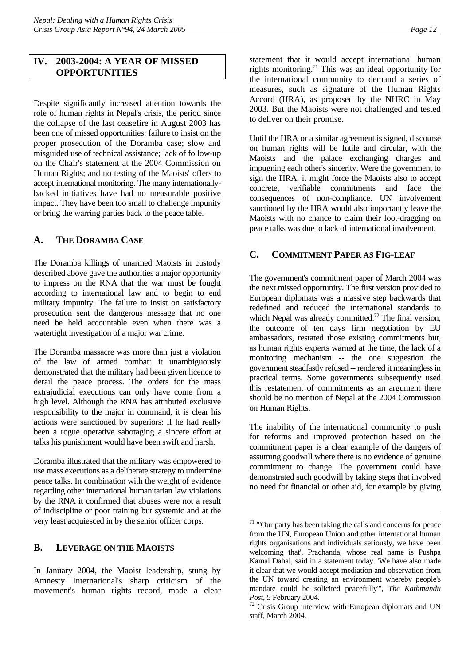#### <span id="page-16-0"></span>**IV. 2003-2004: A YEAR OF MISSED OPPORTUNITIES**

Despite significantly increased attention towards the role of human rights in Nepal's crisis, the period since the collapse of the last ceasefire in August 2003 has been one of missed opportunities: failure to insist on the proper prosecution of the Doramba case; slow and misguided use of technical assistance; lack of follow-up on the Chair's statement at the 2004 Commission on Human Rights; and no testing of the Maoists' offers to accept international monitoring. The many internationallybacked initiatives have had no measurable positive impact. They have been too small to challenge impunity or bring the warring parties back to the peace table.

#### **A. THE DORAMBA CASE**

The Doramba killings of unarmed Maoists in custody described above gave the authorities a major opportunity to impress on the RNA that the war must be fought according to international law and to begin to end military impunity. The failure to insist on satisfactory prosecution sent the dangerous message that no one need be held accountable even when there was a watertight investigation of a major war crime.

The Doramba massacre was more than just a violation of the law of armed combat: it unambiguously demonstrated that the military had been given licence to derail the peace process. The orders for the mass extrajudicial executions can only have come from a high level. Although the RNA has attributed exclusive responsibility to the major in command, it is clear his actions were sanctioned by superiors: if he had really been a rogue operative sabotaging a sincere effort at talks his punishment would have been swift and harsh.

Doramba illustrated that the military was empowered to use mass executions as a deliberate strategy to undermine peace talks. In combination with the weight of evidence regarding other international humanitarian law violations by the RNA it confirmed that abuses were not a result of indiscipline or poor training but systemic and at the very least acquiesced in by the senior officer corps.

#### **B. LEVERAGE ON THE MAOISTS**

In January 2004, the Maoist leadership, stung by Amnesty International's sharp criticism of the movement's human rights record, made a clear statement that it would accept international human rights monitoring.<sup>71</sup> This was an ideal opportunity for the international community to demand a series of measures, such as signature of the Human Rights Accord (HRA), as proposed by the NHRC in May 2003. But the Maoists were not challenged and tested to deliver on their promise.

Until the HRA or a similar agreement is signed, discourse on human rights will be futile and circular, with the Maoists and the palace exchanging charges and impugning each other's sincerity. Were the government to sign the HRA, it might force the Maoists also to accept concrete, verifiable commitments and face the consequences of non-compliance. UN involvement sanctioned by the HRA would also importantly leave the Maoists with no chance to claim their foot-dragging on peace talks was due to lack of international involvement.

#### **C. COMMITMENT PAPER AS FIG-LEAF**

The government's commitment paper of March 2004 was the next missed opportunity. The first version provided to European diplomats was a massive step backwards that redefined and reduced the international standards to which Nepal was already committed.<sup>72</sup> T[he f](#page-16-2)inal version, the outcome of ten days firm negotiation by EU ambassadors, restated those existing commitments but, as human rights experts warned at the time, the lack of a monitoring mechanism -- the one suggestion the government steadfastly refused -- rendered it meaningless in practical terms. Some governments subsequently used this restatement of commitments as an argument there should be no mention of Nepal at the 2004 Commission on Human Rights.

The inability of the international community to push for reforms and improved protection based on the commitment paper is a clear example of the dangers of assuming goodwill where there is no evidence of genuine commitment to change. The government could have demonstrated such goodwill by taking steps that involved no need for financial or other aid, for example by giving

<span id="page-16-1"></span><sup>&</sup>lt;sup>71</sup> "'Our party has been taking the calls and concerns for peace from the UN, European Union and other international human rights organisations and individuals seriously, we have been welcoming that', Prachanda, whose real name is Pushpa Kamal Dahal, said in a statement today. 'We have also made it clear that we would accept mediation and observation from the UN toward creating an environment whereby people's mandate could be solicited peacefully'", *The Kathmandu Post*, 5 February 2004.<br><sup>72</sup> Crisis Group interview with European diplomats and UN

<span id="page-16-2"></span>staff, March 2004.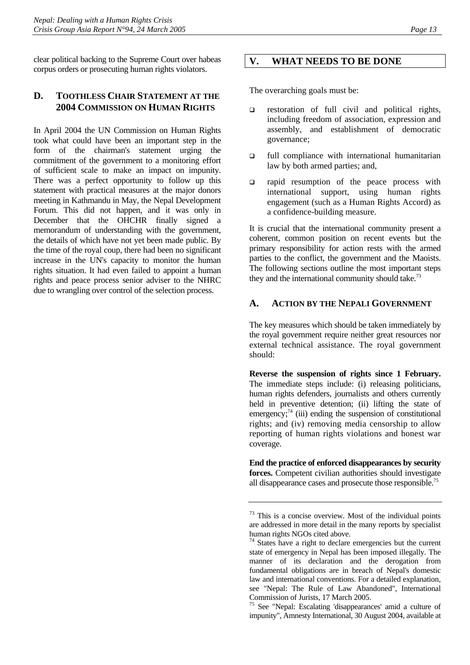<span id="page-17-0"></span>clear political backing to the Supreme Court over habeas corpus orders or prosecuting human rights violators.

## **D. TOOTHLESS CHAIR STATEMENT AT THE 2004 COMMISSION ON HUMAN RIGHTS**

In April 2004 the UN Commission on Human Rights took what could have been an important step in the form of the chairman's statement urging the commitment of the government to a monitoring effort of sufficient scale to make an impact on impunity. There was a perfect opportunity to follow up this statement with practical measures at the major donors meeting in Kathmandu in May, the Nepal Development Forum. This did not happen, and it was only in December that the OHCHR finally signed a memorandum of understanding with the government, the details of which have not yet been made public. By the time of the royal coup, there had been no significant increase in the UN's capacity to monitor the human rights situation. It had even failed to appoint a human rights and peace process senior adviser to the NHRC due to wrangling over control of the selection process.

#### **V. WHAT NEEDS TO BE DONE**

The overarching goals must be:

- $\Box$  restoration of full civil and political rights, including freedom of association, expression and assembly, and establishment of democratic governance;
- $\Box$  full compliance with international humanitarian law by both armed parties; and,
- $\Box$  rapid resumption of the peace process with international support, using human rights engagement (such as a Human Rights Accord) as a confidence-building measure.

It is crucial that the international community present a coherent, common position on recent events but the primary responsibility for action rests with the armed parties to the conflict, the government and the Maoists. The following sections outline the most important steps they and the international community should take.<sup>[73](#page-17-1)</sup>

#### **A. ACTION BY THE NEPALI GOVERNMENT**

The key measures which should be taken immediately by the royal government require neither great resources nor external technical assistance. The royal government should:

**Reverse the suspension of rights since 1 February.** The immediate steps include: (i) releasing politicians, human rights defenders, journalists and others currently held in preventive detention; (ii) lifting the state of emergency; $^{74}$  (iii) ending the suspension of constitutional rights; and (iv) removing media censorship to allow reporting of human rights violations and honest war coverage.

**End the practice of enforced disappearances by security forces.** Competent civilian authorities should investigate all disappearance cases and prosecute those responsible.7[5](#page-17-3)

<span id="page-17-1"></span><sup>&</sup>lt;sup>73</sup> This is a concise overview. Most of the individual points are addressed in more detail in the many reports by specialist human rights NGOs cited above.

<span id="page-17-2"></span><sup>&</sup>lt;sup>74</sup> States have a right to declare emergencies but the current state of emergency in Nepal has been imposed illegally. The manner of its declaration and the derogation from fundamental obligations are in breach of Nepal's domestic law and international conventions. For a detailed explanation, see "Nepal: The Rule of Law Abandoned", International Commission of Jurists, 17 March 2005.

<span id="page-17-3"></span><sup>&</sup>lt;sup>75</sup> See "Nepal: Escalating 'disappearances' amid a culture of impunity", Amnesty International, 30 August 2004, available at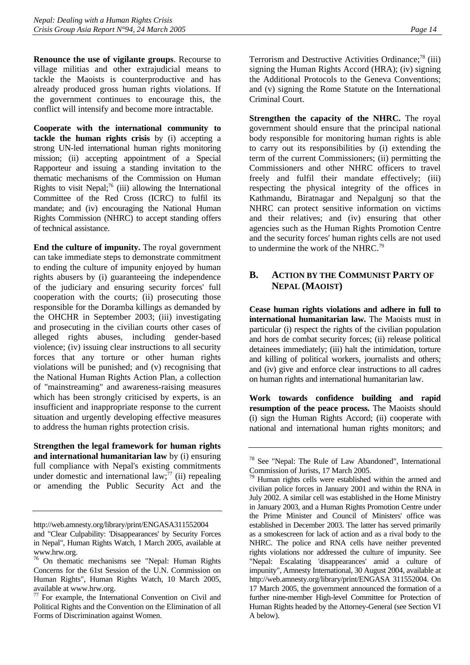<span id="page-18-0"></span>**Renounce the use of vigilante groups**. Recourse to village militias and other extrajudicial means to tackle the Maoists is counterproductive and has already produced gross human rights violations. If the government continues to encourage this, the conflict will intensify and become more intractable.

**Cooperate with the international community to tackle the human rights crisis** by (i) accepting a strong UN-led international human rights monitoring mission; (ii) accepting appointment of a Special Rapporteur and issuing a standing invitation to the thematic mechanisms of the Commission on Human Rights to visit Nepal; $^{76}$  (iii) allowing the International Committee of the Red Cross (ICRC) to fulfil its mandate; and (iv) encouraging the National Human Rights Commission (NHRC) to accept standing offers of technical assistance.

**End the culture of impunity.** The royal government can take immediate steps to demonstrate commitment to ending the culture of impunity enjoyed by human rights abusers by (i) guaranteeing the independence of the judiciary and ensuring security forces' full cooperation with the courts; (ii) prosecuting those responsible for the Doramba killings as demanded by the OHCHR in September 2003; (iii) investigating and prosecuting in the civilian courts other cases of alleged rights abuses, including gender-based violence; (iv) issuing clear instructions to all security forces that any torture or other human rights violations will be punished; and (v) recognising that the National Human Rights Action Plan, a collection of "mainstreaming" and awareness-raising measures which has been strongly criticised by experts, is an insufficient and inappropriate response to the current situation and urgently developing effective measures to address the human rights protection crisis.

**Strengthen the legal framework for human rights and international humanitarian law** by (i) ensuring full compliance with Nepal's existing commitments under domestic and international law; $^{77}$  (ii) repealing or amending the Public Security Act and the Terrorism and Destructive Activities Ordinance;<sup>78</sup> [\(iii\)](#page-18-3) signing the Human Rights Accord (HRA); (iv) signing the Additional Protocols to the Geneva Conventions; and (v) signing the Rome Statute on the International Criminal Court.

**Strengthen the capacity of the NHRC.** The royal government should ensure that the principal national body responsible for monitoring human rights is able to carry out its responsibilities by (i) extending the term of the current Commissioners; (ii) permitting the Commissioners and other NHRC officers to travel freely and fulfil their mandate effectively; (iii) respecting the physical integrity of the offices in Kathmandu, Biratnagar and Nepalgunj so that the NHRC can protect sensitive information on victims and their relatives; and (iv) ensuring that other agencies such as the Human Rights Promotion Centre and the security forces' human rights cells are not used to undermine the work of the NHRC.<sup>[79](#page-18-4)</sup>

## **B. ACTION BY THE COMMUNIST PARTY OF NEPAL (MAOIST)**

**Cease human rights violations and adhere in full to international humanitarian law.** The Maoists must in particular (i) respect the rights of the civilian population and hors de combat security forces; (ii) release political detainees immediately; (iii) halt the intimidation, torture and killing of political workers, journalists and others; and (iv) give and enforce clear instructions to all cadres on human rights and international humanitarian law.

**Work towards confidence building and rapid resumption of the peace process.** The Maoists should (i) sign the Human Rights Accord; (ii) cooperate with national and international human rights monitors; and

<http://web.amnesty.org/library/print/ENGASA311552004>

and "Clear Culpability: 'Disappearances' by Security Forces in Nepal", Human Rights Watch, 1 March 2005, available at

<span id="page-18-1"></span>[www.hrw.org.](http://www.hrw.org/) [76 On thema](http://www.hrw.org/)tic mechanisms see "Nepal: Human Rights Concerns for the 61st Session of the U.N. Commission on Human Rights", Human Rights Watch, 10 March 2005, available at [www.hrw.org.](http://www.hrw.org/)<br><sup>77</sup> For exa[mple, the Intern](http://www.hrw.org/)ational Convention on Civil and

<span id="page-18-2"></span>Political Rights and the Convention on the Elimination of all Forms of Discrimination against Women.

<span id="page-18-3"></span><sup>78</sup> See "Nepal: The Rule of Law Abandoned", International Commission of Jurists, 17 March 2005.

<span id="page-18-4"></span><sup>&</sup>lt;sup>79</sup> Human rights cells were established within the armed and civilian police forces in January 2001 and within the RNA in July 2002. A similar cell was established in the Home Ministry in January 2003, and a Human Rights Promotion Centre under the Prime Minister and Council of Ministers' office was established in December 2003. The latter has served primarily as a smokescreen for lack of action and as a rival body to the NHRC. The police and RNA cells have neither prevented rights violations nor addressed the culture of impunity. See "Nepal: Escalating 'disappearances' amid a culture of impunity", Amnesty International, 30 August 2004, available at [http://web.amnesty.org/library/print/ENGASA 311552004](http://web.amnesty.org/library/print/ENGASA311552004). On 17 March 2005, the government announced the formation of a further nine-member High-level Committee for Protection of Human Rights headed by the Attorney-General (see Section VI A below).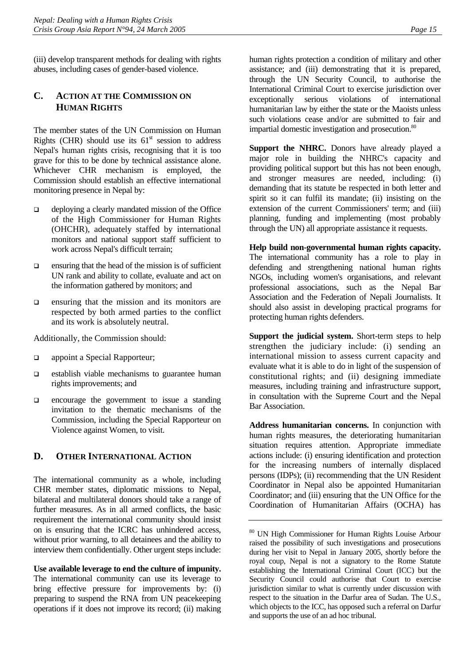<span id="page-19-0"></span>(iii) develop transparent methods for dealing with rights abuses, including cases of gender-based violence.

## **C. ACTION AT THE COMMISSION ON HUMAN RIGHTS**

The member states of the UN Commission on Human Rights (CHR) should use its  $61<sup>st</sup>$  session to address Nepal's human rights crisis, recognising that it is too grave for this to be done by technical assistance alone. Whichever CHR mechanism is employed, the Commission should establish an effective international monitoring presence in Nepal by:

- $\Box$  deploying a clearly mandated mission of the Office of the High Commissioner for Human Rights (OHCHR), adequately staffed by international monitors and national support staff sufficient to work across Nepal's difficult terrain;
- $\Box$  ensuring that the head of the mission is of sufficient UN rank and ability to collate, evaluate and act on the information gathered by monitors; and
- $\Box$  ensuring that the mission and its monitors are respected by both armed parties to the conflict and its work is absolutely neutral.

Additionally, the Commission should:

- **a** appoint a Special Rapporteur;
- $\Box$  establish viable mechanisms to guarantee human rights improvements; and
- $\Box$  encourage the government to issue a standing invitation to the thematic mechanisms of the Commission, including the Special Rapporteur on Violence against Women, to visit.

## **D. OTHER INTERNATIONAL ACTION**

The international community as a whole, including CHR member states, diplomatic missions to Nepal, bilateral and multilateral donors should take a range of further measures. As in all armed conflicts, the basic requirement the international community should insist on is ensuring that the ICRC has unhindered access, without prior warning, to all detainees and the ability to interview them confidentially. Other urgent steps include:

**Use available leverage to end the culture of impunity.** The international community can use its leverage to bring effective pressure for improvements by: (i) preparing to suspend the RNA from UN peacekeeping operations if it does not improve its record; (ii) making human rights protection a condition of military and other assistance; and (iii) demonstrating that it is prepared, through the UN Security Council, to authorise the International Criminal Court to exercise jurisdiction over exceptionally serious violations of international humanitarian law by either the state or the Maoists unless such violations cease and/or are submitted to fair and impartial domestic investigation and prosecution.<sup>[80](#page-19-1)</sup>

**Support the NHRC.** Donors have already played a major role in building the NHRC's capacity and providing political support but this has not been enough, and stronger measures are needed, including: (i) demanding that its statute be respected in both letter and spirit so it can fulfil its mandate; (ii) insisting on the extension of the current Commissioners' term; and (iii) planning, funding and implementing (most probably through the UN) all appropriate assistance it requests.

**Help build non-governmental human rights capacity.**  The international community has a role to play in defending and strengthening national human rights NGOs, including women's organisations, and relevant professional associations, such as the Nepal Bar Association and the Federation of Nepali Journalists. It should also assist in developing practical programs for protecting human rights defenders.

**Support the judicial system.** Short-term steps to help strengthen the judiciary include: (i) sending an international mission to assess current capacity and evaluate what it is able to do in light of the suspension of constitutional rights; and (ii) designing immediate measures, including training and infrastructure support, in consultation with the Supreme Court and the Nepal Bar Association.

**Address humanitarian concerns.** In conjunction with human rights measures, the deteriorating humanitarian situation requires attention. Appropriate immediate actions include: (i) ensuring identification and protection for the increasing numbers of internally displaced persons (IDPs); (ii) recommending that the UN Resident Coordinator in Nepal also be appointed Humanitarian Coordinator; and (iii) ensuring that the UN Office for the Coordination of Humanitarian Affairs (OCHA) has

<span id="page-19-1"></span><sup>80</sup> UN High Commissioner for Human Rights Louise Arbour raised the possibility of such investigations and prosecutions during her visit to Nepal in January 2005, shortly before the royal coup, Nepal is not a signatory to the Rome Statute establishing the International Criminal Court (ICC) but the Security Council could authorise that Court to exercise jurisdiction similar to what is currently under discussion with respect to the situation in the Darfur area of Sudan. The U.S., which objects to the ICC, has opposed such a referral on Darfur and supports the use of an ad hoc tribunal.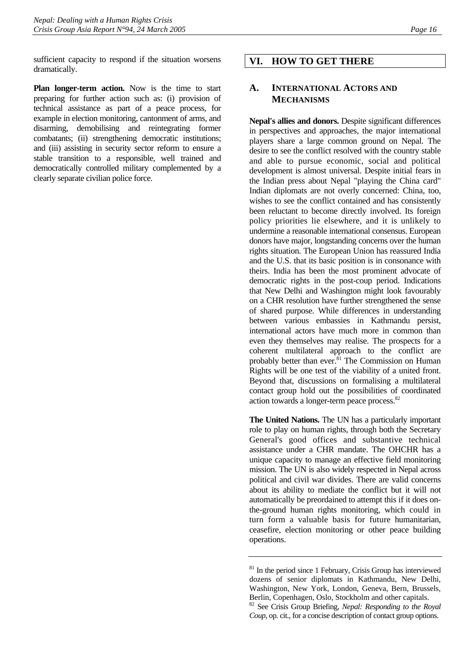<span id="page-20-0"></span>sufficient capacity to respond if the situation worsens dramatically.

**Plan longer-term action.** Now is the time to start preparing for further action such as: (i) provision of technical assistance as part of a peace process, for example in election monitoring, cantonment of arms, and disarming, demobilising and reintegrating former combatants; (ii) strengthening democratic institutions; and (iii) assisting in security sector reform to ensure a stable transition to a responsible, well trained and democratically controlled military complemented by a clearly separate civilian police force.

## **VI. HOW TO GET THERE**

#### **A. INTERNATIONAL ACTORS AND MECHANISMS**

**Nepal's allies and donors.** Despite significant differences in perspectives and approaches, the major international players share a large common ground on Nepal. The desire to see the conflict resolved with the country stable and able to pursue economic, social and political development is almost universal. Despite initial fears in the Indian press about Nepal "playing the China card" Indian diplomats are not overly concerned: China, too, wishes to see the conflict contained and has consistently been reluctant to become directly involved. Its foreign policy priorities lie elsewhere, and it is unlikely to undermine a reasonable international consensus. European donors have major, longstanding concerns over the human rights situation. The European Union has reassured India and the U.S. that its basic position is in consonance with theirs. India has been the most prominent advocate of democratic rights in the post-coup period. Indications that New Delhi and Washington might look favourably on a CHR resolution have further strengthened the sense of shared purpose. While differences in understanding between various embassies in Kathmandu persist, international actors have much more in common than even they themselves may realise. The prospects for a coherent multilateral approach to the conflict are probably better than ever. ${}^{81}$  The Commission on Human Rights will be one test of the viability of a united front. Beyond that, discussions on formalising a multilateral contact group hold out the possibilities of coordinated action towards a longer-term peace process.<sup>82</sup>

**The United Nations.** The UN has a particularly important role to play on human rights, through both the Secretary General's good offices and substantive technical assistance under a CHR mandate. The OHCHR has a unique capacity to manage an effective field monitoring mission. The UN is also widely respected in Nepal across political and civil war divides. There are valid concerns about its ability to mediate the conflict but it will not automatically be preordained to attempt this if it does onthe-ground human rights monitoring, which could in turn form a valuable basis for future humanitarian, ceasefire, election monitoring or other peace building operations.

<span id="page-20-1"></span> $81$  In the period since 1 February, Crisis Group has interviewed dozens of senior diplomats in Kathmandu, New Delhi, Washington, New York, London, Geneva, Bern, Brussels, Berlin, Copenhagen, Oslo, Stockholm and other capitals.

<span id="page-20-2"></span><sup>82</sup> See Crisis Group Briefing, *Nepal: Responding to the Royal Coup*, op. cit., for a concise description of contact group options.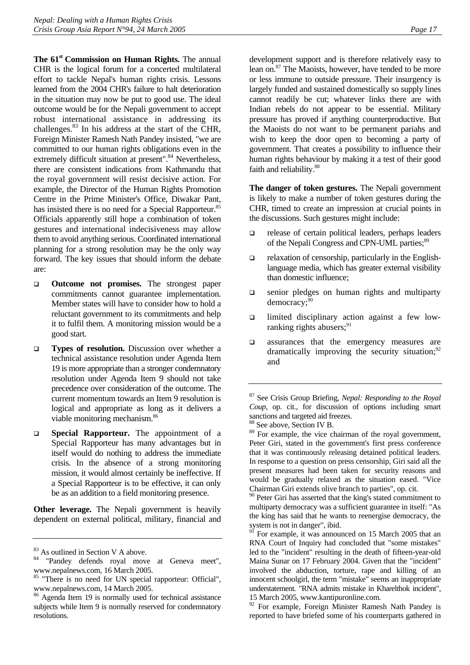**The 61<sup>st</sup> Commission on Human Rights.** The annual CHR is the logical forum for a concerted multilateral effort to tackle Nepal's human rights crisis. Lessons learned from the 2004 CHR's failure to halt deterioration in the situation may now be put to good use. The ideal outcome would be for the Nepali government to accept robust international assistance in addressing its challenges.[83](#page-21-0) In his address at the start of the CHR, Foreign Minister Ramesh Nath Pandey insisted, "we are committed to our human rights obligations even in the extremely difficult situation at present".<sup>84</sup> Nevertheless, there are consistent indications from Kathmandu that the royal government will resist decisive action. For example, the Director of the Human Rights Promotion Centre in the Prime Minister's Office, Diwakar Pant, has insisted there is no need for a Special Rapporteur.<sup>85</sup> Officials apparently still hope a combination of token gestures and international indecisiveness may allow them to avoid anything serious. Coordinated international planning for a strong resolution may be the only way forward. The key issues that should inform the debate are:

- **Outcome not promises.** The strongest paper commitments cannot guarantee implementation. Member states will have to consider how to hold a reluctant government to its commitments and help it to fulfil them. A monitoring mission would be a good start.
- **Types of resolution.** Discussion over whether a technical assistance resolution under Agenda Item 19 is more appropriate than a stronger condemnatory resolution under Agenda Item 9 should not take precedence over consideration of the outcome. The current momentum towards an Item 9 resolution is logical and appropriate as long as it delivers a viable monitoring mechanism.<sup>[86](#page-21-3)</sup>
- **Special Rapporteur.** The appointment of a Special Rapporteur has many advantages but in itself would do nothing to address the immediate crisis. In the absence of a strong monitoring mission, it would almost certainly be ineffective. If a Special Rapporteur is to be effective, it can only be as an addition to a field monitoring presence.

**Other leverage.** The Nepali government is heavily dependent on external political, military, financial and

development support and is therefore relatively easy to lean on.[87 T](#page-21-4)he Maoists, however, have tended to be more or less immune to outside pressure. Their insurgency is largely funded and sustained domestically so supply lines cannot readily be cut; whatever links there are with Indian rebels do not appear to be essential. Military pressure has proved if anything counterproductive. But the Maoists do not want to be permanent pariahs and wish to keep the door open to becoming a party of government. That creates a possibility to influence their human rights behaviour by making it a test of their good faith and reliability.<sup>88</sup>

**The danger of token gestures.** The Nepali government is likely to make a number of token gestures during the CHR, timed to create an impression at crucial points in the discussions. Such gestures might include:

- release of certain political leaders, perhaps leaders of the Nepali Congress and CPN-UML parties;<sup>89</sup>
- relaxation of censorship, particularly in the Englishlanguage media, which has greater external visibility than domestic influence;
- senior pledges on human rights and multiparty democracy:<sup>90</sup>
- $\Box$  limited disciplinary action against a few lowranking rights abusers; $91$
- **assurances** that the emergency measures are dramatically improving the security situation; $92$ and

<span id="page-21-4"></span>87 See Crisis Group Briefing, *Nepal: Responding to the Royal Coup*, op. cit., for discussion of options including smart sanctions and targeted aid freezes.

<span id="page-21-6"></span><sup>89</sup> For example, the vice chairman of the royal government, Peter Giri, stated in the government's first press conference that it was continuously releasing detained political leaders. In response to a question on press censorship, Giri said all the present measures had been taken for security reasons and would be gradually relaxed as the situation eased. "Vice Chairman Giri extends olive branch to parties", op. cit.

<span id="page-21-7"></span><sup>90</sup> Peter Giri has asserted that the king's stated commitment to multiparty democracy was a sufficient guarantee in itself: "As the king has said that he wants to reenergise democracy, the system is not in danger", ibid.

<span id="page-21-0"></span><sup>83</sup> As outlined in Section V A above.

<span id="page-21-1"></span><sup>&</sup>quot;Pandey defends royal move at Geneva meet", www.nepalnews.com, 16 March 2005.<br><sup>85</sup> "There is no need for UN special rapporteur: Official",

<span id="page-21-2"></span>www.nepalnews.com, 14 March 2005.<br><sup>86</sup> Agenda Item 19 is normally used for technical assistance

<span id="page-21-3"></span>subjects while Item 9 is normally reserved for condemnatory resolutions.

<span id="page-21-5"></span><sup>88</sup> See above, Section IV B.

<span id="page-21-8"></span><sup>&</sup>lt;sup>91</sup> For example, it was announced on 15 March 2005 that an RNA Court of Inquiry had concluded that "some mistakes" led to the "incident" resulting in the death of fifteen-year-old Maina Sunar on 17 February 2004. Given that the "incident" involved the abduction, torture, rape and killing of an innocent schoolgirl, the term "mistake" seems an inappropriate understatement. "RNA admits mistake in Kharelthok incident",

<span id="page-21-9"></span><sup>15</sup> March 2005*,* www.kantipuronline.com*.* 92 For example, Foreign Minister Ramesh Nath Pandey is reported to have briefed some of his counterparts gathered in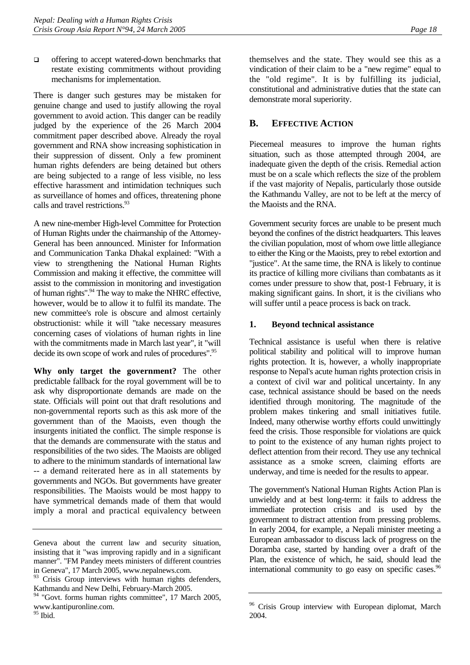<span id="page-22-0"></span> $\Box$  offering to accept watered-down benchmarks that restate existing commitments without providing mechanisms for implementation.

There is danger such gestures may be mistaken for genuine change and used to justify allowing the royal government to avoid action. This danger can be readily judged by the experience of the 26 March 2004 commitment paper described above. Already the royal government and RNA show increasing sophistication in their suppression of dissent. Only a few prominent human rights defenders are being detained but others are being subjected to a range of less visible, no less effective harassment and intimidation techniques such as surveillance of homes and offices, threatening phone calls and travel restrictions.<sup>93</sup>

A new nine-member High-level Committee for Protection of Human Rights under the chairmanship of the Attorney-General has been announced. Minister for Information and Communication Tanka Dhakal explained: "With a view to strengthening the National Human Rights Commission and making it effective, the committee will assist to the commission in monitoring and investigation of human rights"[.94 T](#page-22-2)he way to make the NHRC effective, however, would be to allow it to fulfil its mandate. The new committee's role is obscure and almost certainly obstructionist: while it will "take necessary measures concerning cases of violations of human rights in line with the commitments made in March last year", it "will decide its own scope of work and rules of procedures".<sup>[95](#page-22-3)</sup>

**Why only target the government?** The other predictable fallback for the royal government will be to ask why disproportionate demands are made on the state. Officials will point out that draft resolutions and non-governmental reports such as this ask more of the government than of the Maoists, even though the insurgents initiated the conflict. The simple response is that the demands are commensurate with the status and responsibilities of the two sides. The Maoists are obliged to adhere to the minimum standards of international law -- a demand reiterated here as in all statements by governments and NGOs. But governments have greater responsibilities. The Maoists would be most happy to have symmetrical demands made of them that would imply a moral and practical equivalency between themselves and the state. They would see this as a vindication of their claim to be a "new regime" equal to the "old regime". It is by fulfilling its judicial, constitutional and administrative duties that the state can demonstrate moral superiority.

## **B. EFFECTIVE ACTION**

Piecemeal measures to improve the human rights situation, such as those attempted through 2004, are inadequate given the depth of the crisis. Remedial action must be on a scale which reflects the size of the problem if the vast majority of Nepalis, particularly those outside the Kathmandu Valley, are not to be left at the mercy of the Maoists and the RNA.

Government security forces are unable to be present much beyond the confines of the district headquarters. This leaves the civilian population, most of whom owe little allegiance to either the King or the Maoists, prey to rebel extortion and "justice". At the same time, the RNA is likely to continue its practice of killing more civilians than combatants as it comes under pressure to show that, post-1 February, it is making significant gains. In short, it is the civilians who will suffer until a peace process is back on track.

## **1. Beyond technical assistance**

Technical assistance is useful when there is relative political stability and political will to improve human rights protection. It is, however, a wholly inappropriate response to Nepal's acute human rights protection crisis in a context of civil war and political uncertainty. In any case, technical assistance should be based on the needs identified through monitoring. The magnitude of the problem makes tinkering and small initiatives futile. Indeed, many otherwise worthy efforts could unwittingly feed the crisis. Those responsible for violations are quick to point to the existence of any human rights project to deflect attention from their record. They use any technical assistance as a smoke screen, claiming efforts are underway, and time is needed for the results to appear.

The government's National Human Rights Action Plan is unwieldy and at best long-term: it fails to address the immediate protection crisis and is used by the government to distract attention from pressing problems. In early 2004, for example, a Nepali minister meeting a European ambassador to discuss lack of progress on the Doramba case, started by handing over a draft of the Plan, the existence of which, he said, should lead the international community to go easy on specific cases.<sup>96</sup>

Geneva about the current law and security situation, insisting that it "was improving rapidly and in a significant manner". "FM Pandey meets ministers of different countries in Geneva", 17 March 2005, www.nepalnews.com.

<span id="page-22-1"></span><sup>&</sup>lt;sup>93</sup> Crisis Group interviews with human rights defenders, Kathmandu and New Delhi, February-March 2005.

<span id="page-22-2"></span><sup>&</sup>lt;sup>94</sup> "Govt. forms human rights committee", 17 March 2005, www.kantipuronline.com.

<span id="page-22-3"></span><sup>&</sup>lt;sup>95</sup> Ibid.

<span id="page-22-4"></span><sup>&</sup>lt;sup>96</sup> Crisis Group interview with European diplomat, March 2004.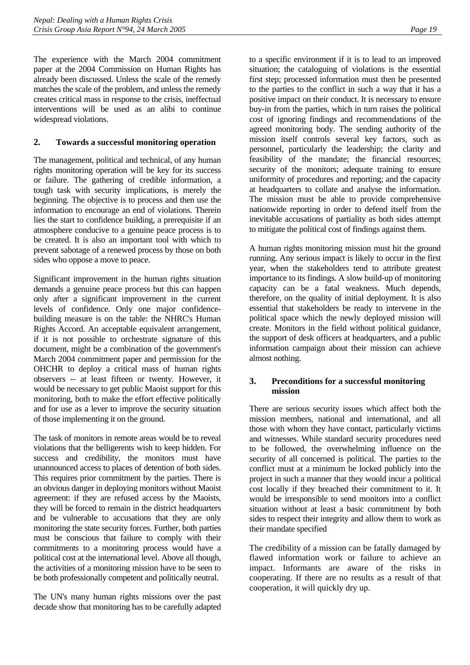<span id="page-23-0"></span>The experience with the March 2004 commitment paper at the 2004 Commission on Human Rights has already been discussed. Unless the scale of the remedy matches the scale of the problem, and unless the remedy creates critical mass in response to the crisis, ineffectual interventions will be used as an alibi to continue widespread violations.

## **2. Towards a successful monitoring operation**

The management, political and technical, of any human rights monitoring operation will be key for its success or failure. The gathering of credible information, a tough task with security implications, is merely the beginning. The objective is to process and then use the information to encourage an end of violations. Therein lies the start to confidence building, a prerequisite if an atmosphere conducive to a genuine peace process is to be created. It is also an important tool with which to prevent sabotage of a renewed process by those on both sides who oppose a move to peace.

Significant improvement in the human rights situation demands a genuine peace process but this can happen only after a significant improvement in the current levels of confidence. Only one major confidencebuilding measure is on the table: the NHRC's Human Rights Accord. An acceptable equivalent arrangement, if it is not possible to orchestrate signature of this document, might be a combination of the government's March 2004 commitment paper and permission for the OHCHR to deploy a critical mass of human rights observers -- at least fifteen or twenty. However, it would be necessary to get public Maoist support for this monitoring, both to make the effort effective politically and for use as a lever to improve the security situation of those implementing it on the ground.

The task of monitors in remote areas would be to reveal violations that the belligerents wish to keep hidden. For success and credibility, the monitors must have unannounced access to places of detention of both sides. This requires prior commitment by the parties. There is an obvious danger in deploying monitors without Maoist agreement: if they are refused access by the Maoists, they will be forced to remain in the district headquarters and be vulnerable to accusations that they are only monitoring the state security forces. Further, both parties must be conscious that failure to comply with their commitments to a monitoring process would have a political cost at the international level. Above all though, the activities of a monitoring mission have to be seen to be both professionally competent and politically neutral.

The UN's many human rights missions over the past decade show that monitoring has to be carefully adapted to a specific environment if it is to lead to an improved situation; the cataloguing of violations is the essential first step; processed information must then be presented to the parties to the conflict in such a way that it has a positive impact on their conduct. It is necessary to ensure buy-in from the parties, which in turn raises the political cost of ignoring findings and recommendations of the agreed monitoring body. The sending authority of the mission itself controls several key factors, such as personnel, particularly the leadership; the clarity and feasibility of the mandate; the financial resources; security of the monitors; adequate training to ensure uniformity of procedures and reporting; and the capacity at headquarters to collate and analyse the information. The mission must be able to provide comprehensive nationwide reporting in order to defend itself from the inevitable accusations of partiality as both sides attempt to mitigate the political cost of findings against them.

A human rights monitoring mission must hit the ground running. Any serious impact is likely to occur in the first year, when the stakeholders tend to attribute greatest importance to its findings. A slow build-up of monitoring capacity can be a fatal weakness. Much depends, therefore, on the quality of initial deployment. It is also essential that stakeholders be ready to intervene in the political space which the newly deployed mission will create. Monitors in the field without political guidance, the support of desk officers at headquarters, and a public information campaign about their mission can achieve almost nothing.

#### **3. Preconditions for a successful monitoring mission**

There are serious security issues which affect both the mission members, national and international, and all those with whom they have contact, particularly victims and witnesses. While standard security procedures need to be followed, the overwhelming influence on the security of all concerned is political. The parties to the conflict must at a minimum be locked publicly into the project in such a manner that they would incur a political cost locally if they breached their commitment to it. It would be irresponsible to send monitors into a conflict situation without at least a basic commitment by both sides to respect their integrity and allow them to work as their mandate specified

The credibility of a mission can be fatally damaged by flawed information work or failure to achieve an impact. Informants are aware of the risks in cooperating. If there are no results as a result of that cooperation, it will quickly dry up.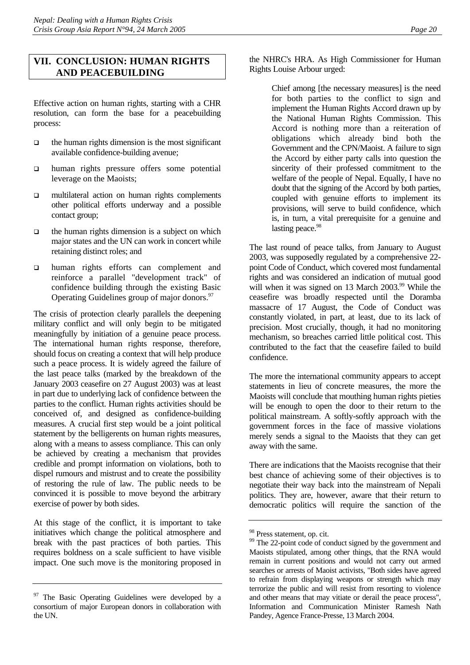## <span id="page-24-0"></span>**VII. CONCLUSION: HUMAN RIGHTS AND PEACEBUILDING**

Effective action on human rights, starting with a CHR resolution, can form the base for a peacebuilding process:

- $\Box$  the human rights dimension is the most significant available confidence-building avenue;
- human rights pressure offers some potential leverage on the Maoists;
- $\Box$  multilateral action on human rights complements other political efforts underway and a possible contact group;
- $\Box$  the human rights dimension is a subject on which major states and the UN can work in concert while retaining distinct roles; and
- human rights efforts can complement and reinforce a parallel "development track" of confidence building through the existing Basic Operating Guidelines group of major donors.<sup>[97](#page-24-1)</sup>

The crisis of protection clearly parallels the deepening military conflict and will only begin to be mitigated meaningfully by initiation of a genuine peace process. The international human rights response, therefore, should focus on creating a context that will help produce such a peace process. It is widely agreed the failure of the last peace talks (marked by the breakdown of the January 2003 ceasefire on 27 August 2003) was at least in part due to underlying lack of confidence between the parties to the conflict. Human rights activities should be conceived of, and designed as confidence-building measures. A crucial first step would be a joint political statement by the belligerents on human rights measures, along with a means to assess compliance. This can only be achieved by creating a mechanism that provides credible and prompt information on violations, both to dispel rumours and mistrust and to create the possibility of restoring the rule of law. The public needs to be convinced it is possible to move beyond the arbitrary exercise of power by both sides.

At this stage of the conflict, it is important to take initiatives which change the political atmosphere and break with the past practices of both parties. This requires boldness on a scale sufficient to have visible impact. One such move is the monitoring proposed in the NHRC's HRA. As High Commissioner for Human Rights Louise Arbour urged:

> Chief among [the necessary measures] is the need for both parties to the conflict to sign and implement the Human Rights Accord drawn up by the National Human Rights Commission. This Accord is nothing more than a reiteration of obligations which already bind both the Government and the CPN/Maoist. A failure to sign the Accord by either party calls into question the sincerity of their professed commitment to the welfare of the people of Nepal. Equally, I have no doubt that the signing of the Accord by both parties, coupled with genuine efforts to implement its provisions, will serve to build confidence, which is, in turn, a vital prerequisite for a genuine and lasting peace.<sup>[98](#page-24-2)</sup>

The last round of peace talks, from January to August 2003, was supposedly regulated by a comprehensive 22 point Code of Conduct, which covered most fundamental rights and was considered an indication of mutual good will when it was signed on 13 March 2003.<sup>99</sup> While the ceasefire was broadly respected until the Doramba massacre of 17 August, the Code of Conduct was constantly violated, in part, at least, due to its lack of precision. Most crucially, though, it had no monitoring mechanism, so breaches carried little political cost. This contributed to the fact that the ceasefire failed to build confidence.

The more the international community appears to accept statements in lieu of concrete measures, the more the Maoists will conclude that mouthing human rights pieties will be enough to open the door to their return to the political mainstream. A softly-softly approach with the government forces in the face of massive violations merely sends a signal to the Maoists that they can get away with the same.

There are indications that the Maoists recognise that their best chance of achieving some of their objectives is to negotiate their way back into the mainstream of Nepali politics. They are, however, aware that their return to democratic politics will require the sanction of the

<span id="page-24-1"></span><sup>&</sup>lt;sup>97</sup> The Basic Operating Guidelines were developed by a consortium of major European donors in collaboration with the UN.

<span id="page-24-2"></span><sup>98</sup> Press statement, op. cit.

<span id="page-24-3"></span><sup>&</sup>lt;sup>99</sup> The 22-point code of conduct signed by the government and Maoists stipulated, among other things, that the RNA would remain in current positions and would not carry out armed searches or arrests of Maoist activists, "Both sides have agreed to refrain from displaying weapons or strength which may terrorize the public and will resist from resorting to violence and other means that may vitiate or derail the peace process", Information and Communication Minister Ramesh Nath Pandey, Agence France-Presse, 13 March 2004.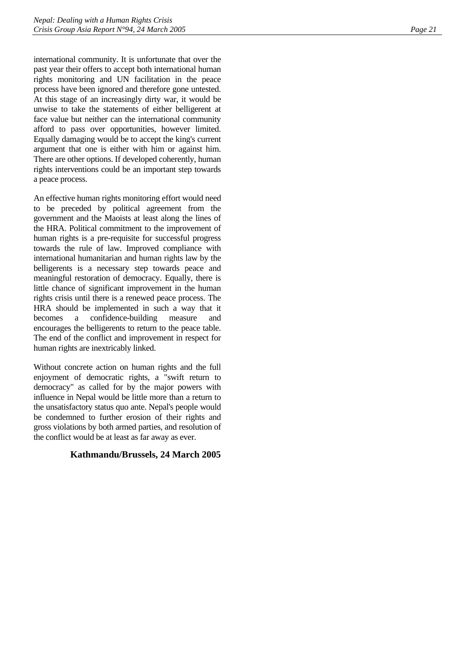international community. It is unfortunate that over the past year their offers to accept both international human rights monitoring and UN facilitation in the peace process have been ignored and therefore gone untested. At this stage of an increasingly dirty war, it would be unwise to take the statements of either belligerent at face value but neither can the international community afford to pass over opportunities, however limited. Equally damaging would be to accept the king's current argument that one is either with him or against him. There are other options. If developed coherently, human rights interventions could be an important step towards a peace process.

An effective human rights monitoring effort would need to be preceded by political agreement from the government and the Maoists at least along the lines of the HRA. Political commitment to the improvement of human rights is a pre-requisite for successful progress towards the rule of law. Improved compliance with international humanitarian and human rights law by the belligerents is a necessary step towards peace and meaningful restoration of democracy. Equally, there is little chance of significant improvement in the human rights crisis until there is a renewed peace process. The HRA should be implemented in such a way that it becomes a confidence-building measure and encourages the belligerents to return to the peace table. The end of the conflict and improvement in respect for human rights are inextricably linked.

Without concrete action on human rights and the full enjoyment of democratic rights, a "swift return to democracy" as called for by the major powers with influence in Nepal would be little more than a return to the unsatisfactory status quo ante. Nepal's people would be condemned to further erosion of their rights and gross violations by both armed parties, and resolution of the conflict would be at least as far away as ever.

#### **Kathmandu/Brussels, 24 March 2005**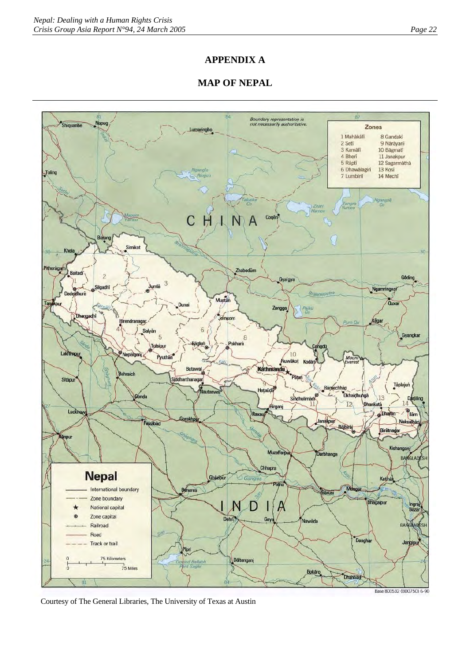## **APPENDIX A**

## **MAP OF NEPAL**



Courtesy of The General Libraries, The University of Texas at Austin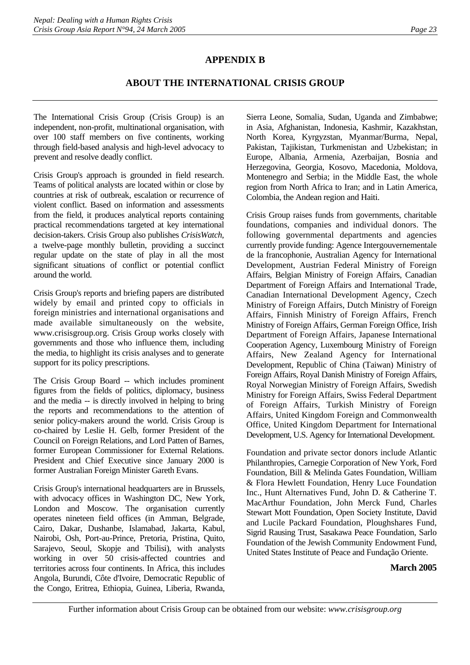## **APPENDIX B**

## **ABOUT THE INTERNATIONAL CRISIS GROUP**

The International Crisis Group (Crisis Group) is an independent, non-profit, multinational organisation, with over 100 staff members on five continents, working through field-based analysis and high-level advocacy to prevent and resolve deadly conflict.

Crisis Group's approach is grounded in field research. Teams of political analysts are located within or close by countries at risk of outbreak, escalation or recurrence of violent conflict. Based on information and assessments from the field, it produces analytical reports containing practical recommendations targeted at key international decision-takers. Crisis Group also publishes *CrisisWatch*, a twelve-page monthly bulletin, providing a succinct regular update on the state of play in all the most significant situations of conflict or potential conflict around the world.

Crisis Group's reports and briefing papers are distributed widely by email and printed copy to officials in foreign ministries and international organisations and made available simultaneously on the website, www.crisisgroup.org. Crisis Group works closely with governments and those who influence them, including the media, to highlight its crisis analyses and to generate support for its policy prescriptions.

The Crisis Group Board -- which includes prominent figures from the fields of politics, diplomacy, business and the media -- is directly involved in helping to bring the reports and recommendations to the attention of senior policy-makers around the world. Crisis Group is co-chaired by Leslie H. Gelb, former President of the Council on Foreign Relations, and Lord Patten of Barnes, former European Commissioner for External Relations. President and Chief Executive since January 2000 is former Australian Foreign Minister Gareth Evans.

Crisis Group's international headquarters are in Brussels, with advocacy offices in Washington DC, New York, London and Moscow. The organisation currently operates nineteen field offices (in Amman, Belgrade, Cairo, Dakar, Dushanbe, Islamabad, Jakarta, Kabul, Nairobi, Osh, Port-au-Prince, Pretoria, Pristina, Quito, Sarajevo, Seoul, Skopje and Tbilisi), with analysts working in over 50 crisis-affected countries and territories across four continents. In Africa, this includes Angola, Burundi, Côte d'Ivoire, Democratic Republic of the Congo, Eritrea, Ethiopia, Guinea, Liberia, Rwanda,

Sierra Leone, Somalia, Sudan, Uganda and Zimbabwe; in Asia, Afghanistan, Indonesia, Kashmir, Kazakhstan, North Korea, Kyrgyzstan, Myanmar/Burma, Nepal, Pakistan, Tajikistan, Turkmenistan and Uzbekistan; in Europe, Albania, Armenia, Azerbaijan, Bosnia and Herzegovina, Georgia, Kosovo, Macedonia, Moldova, Montenegro and Serbia; in the Middle East, the whole region from North Africa to Iran; and in Latin America, Colombia, the Andean region and Haiti.

Crisis Group raises funds from governments, charitable foundations, companies and individual donors. The following governmental departments and agencies currently provide funding: Agence Intergouvernementale de la francophonie, Australian Agency for International Development, Austrian Federal Ministry of Foreign Affairs, Belgian Ministry of Foreign Affairs, Canadian Department of Foreign Affairs and International Trade, Canadian International Development Agency, Czech Ministry of Foreign Affairs, Dutch Ministry of Foreign Affairs, Finnish Ministry of Foreign Affairs, French Ministry of Foreign Affairs, German Foreign Office, Irish Department of Foreign Affairs, Japanese International Cooperation Agency, Luxembourg Ministry of Foreign Affairs, New Zealand Agency for International Development, Republic of China (Taiwan) Ministry of Foreign Affairs, Royal Danish Ministry of Foreign Affairs, Royal Norwegian Ministry of Foreign Affairs, Swedish Ministry for Foreign Affairs, Swiss Federal Department of Foreign Affairs, Turkish Ministry of Foreign Affairs, United Kingdom Foreign and Commonwealth Office, United Kingdom Department for International Development, U.S. Agency for International Development.

Foundation and private sector donors include Atlantic Philanthropies, Carnegie Corporation of New York, Ford Foundation, Bill & Melinda Gates Foundation, William & Flora Hewlett Foundation, Henry Luce Foundation Inc., Hunt Alternatives Fund, John D. & Catherine T. MacArthur Foundation, John Merck Fund, Charles Stewart Mott Foundation, Open Society Institute, David and Lucile Packard Foundation, Ploughshares Fund, Sigrid Rausing Trust, Sasakawa Peace Foundation, Sarlo Foundation of the Jewish Community Endowment Fund, United States Institute of Peace and Fundação Oriente.

#### **March 2005**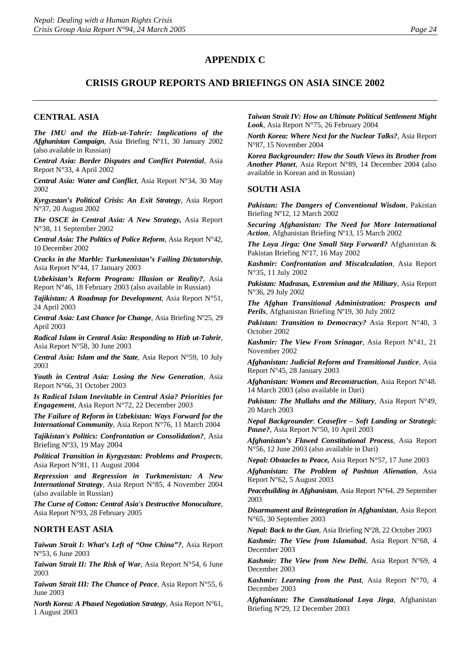#### **APPENDIX C**

## **CRISIS GROUP REPORTS AND BRIEFINGS ON ASIA SINCE 2002**

#### **CENTRAL ASIA**

*The IMU and the Hizb-ut-Tahrir: Implications of the Afghanistan Campaign*, Asia Briefing Nº11, 30 January 2002 (also available in Russian)

*Central Asia: Border Disputes and Conflict Potential*, Asia Report N°33, 4 April 2002

*Central Asia: Water and Conflict*, Asia Report N°34, 30 May 2002

*Kyrgyzstan's Political Crisis: An Exit Strategy*, Asia Report N°37, 20 August 2002

*The OSCE in Central Asia: A New Strategy,* Asia Report N°38, 11 September 2002

*Central Asia: The Politics of Police Reform*, Asia Report N°42, 10 December 2002

*Cracks in the Marble: Turkmenistan's Failing Dictatorship*, Asia Report N°44, 17 January 2003

*Uzbekistan's Reform Program: Illusion or Reality?*, Asia Report N°46, 18 February 2003 (also available in Russian)

*Tajikistan: A Roadmap for Development*, Asia Report N°51, 24 April 2003

*Central Asia: Last Chance for Change*, Asia Briefing Nº25, 29 April 2003

*Radical Islam in Central Asia: Responding to Hizb ut-Tahrir*, Asia Report N°58, 30 June 2003

*Central Asia: Islam and the State*, Asia Report N°59, 10 July 2003

*Youth in Central Asia: Losing the New Generation*, Asia Report N°66, 31 October 2003

*Is Radical Islam Inevitable in Central Asia? Priorities for Engagement*, Asia Report N°72, 22 December 2003

*The Failure of Reform in Uzbekistan: Ways Forward for the International Community*, Asia Report N°76, 11 March 2004

*Tajikistan's Politics: Confrontation or Consolidation?*, Asia Briefing Nº33, 19 May 2004

*Political Transition in Kyrgyzstan: Problems and Prospects*, Asia Report N°81, 11 August 2004

*Repression and Regression in Turkmenistan: A New International Strategy*, Asia Report N°85, 4 November 2004 (also available in Russian)

*The Curse of Cotton: Central Asia's Destructive Monoculture*, Asia Report N°93, 28 February 2005

#### **NORTH EAST ASIA**

*Taiwan Strait I: What's Left of "One China"?*, Asia Report N°53, 6 June 2003

*Taiwan Strait II: The Risk of War*, Asia Report N°54, 6 June 2003

*Taiwan Strait III: The Chance of Peace*, Asia Report N°55, 6 June 2003

*North Korea: A Phased Negotiation Strategy*, Asia Report N°61, 1 August 2003

*Taiwan Strait IV: How an Ultimate Political Settlement Might Look*, Asia Report N°75, 26 February 2004

*North Korea: Where Next for the Nuclear Talks?*, Asia Report N°87, 15 November 2004

*Korea Backgrounder: How the South Views its Brother from Another Planet*, Asia Report N°89, 14 December 2004 (also available in Korean and in Russian)

#### **SOUTH ASIA**

*Pakistan: The Dangers of Conventional Wisdom*, Pakistan Briefing Nº12, 12 March 2002

*Securing Afghanistan: The Need for More International Action*, Afghanistan Briefing Nº13, 15 March 2002

*The Loya Jirga: One Small Step Forward?* Afghanistan & Pakistan Briefing Nº17, 16 May 2002

*Kashmir: Confrontation and Miscalculation*, Asia Report N°35, 11 July 2002

*Pakistan: Madrasas, Extremism and the Military*, Asia Report N°36, 29 July 2002

*The Afghan Transitional Administration: Prospects and Perils*, Afghanistan Briefing Nº19, 30 July 2002

*Pakistan: Transition to Democracy?* Asia Report N°40, 3 October 2002

*Kashmir: The View From Srinagar*, Asia Report N°41, 21 November 2002

*Afghanistan: Judicial Reform and Transitional Justice*, Asia Report N°45, 28 January 2003

*Afghanistan: Women and Reconstruction*, Asia Report N°48. 14 March 2003 (also available in Dari)

*Pakistan: The Mullahs and the Military*, Asia Report N°49, 20 March 2003

*Nepal Backgrounder*: *Ceasefire – Soft Landing or Strategi*c *Pause?*, Asia Report N°50, 10 April 2003

*Afghanistan's Flawed Constitutional Process*, Asia Report N°56, 12 June 2003 (also available in Dari)

*Nepal: Obstacles to Peace,* Asia Report N°57, 17 June 2003

*Afghanistan: The Problem of Pashtun Alienation*, Asia Report N°62, 5 August 2003

*[Peacebuilding in Afghanistan](http://www.crisisweb.org/home/index.cfm?id=2293&l=1)*, Asia Report N°64, 29 September 2003

*Disarmament and Reintegration in Afghanistan*, Asia Report N°65, 30 September 2003

*Nepal: Back to the Gun*, Asia Briefing Nº28, 22 October 2003

*Kashmir: The View from Islamabad*, Asia Report N°68, 4 December 2003

*Kashmir: The View from New Delhi*, Asia Report N°69, 4 December 2003

*Kashmir: Learning from the Past*, Asia Report N°70, 4 December 2003

*[Afghanistan: The Constitutional Loya Jirga](http://www.crisisweb.org/home/index.cfm?id=2417&l=1)*, Afghanistan Briefing Nº29, 12 December 2003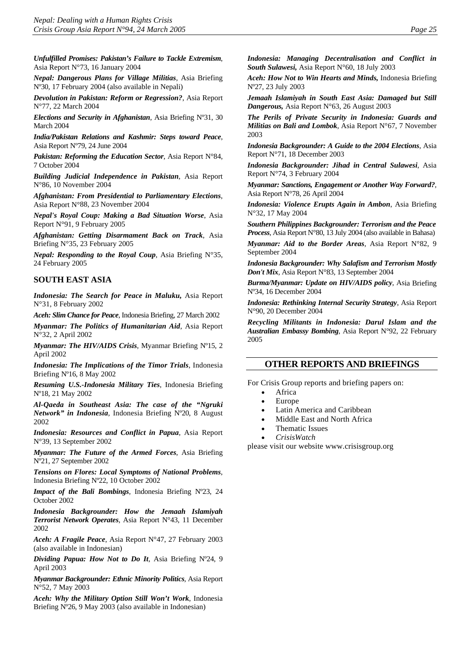*Unfulfilled Promises: Pakistan's Failure to Tackle Extremism*, Asia Report N°73, 16 January 2004

*Nepal: Dangerous Plans for Village Militias*, Asia Briefing Nº30, 17 February 2004 (also available in Nepali)

*[Devolution in Pakistan: Reform or Regression?](http://www.crisisweb.org/home/index.cfm?id=2549&l=1)*, Asia Report N°77, 22 March 2004

*Elections and Security in Afghanistan*, Asia Briefing Nº31, 30 March 2004

*India/Pakistan Relations and Kashmir: Steps toward Peace*, Asia Report Nº79, 24 June 2004

*Pakistan: Reforming the Education Sector*, Asia Report N°84, 7 October 2004

*Building Judicial Independence in Pakistan*, Asia Report N°86, 10 November 2004

*Afghanistan: From Presidential to Parliamentary Elections*, Asia Report N°88, 23 November 2004

*Nepal's Royal Coup: Making a Bad Situation Worse*, Asia Report N°91, 9 February 2005

*Afghanistan: Getting Disarmament Back on Track*, Asia Briefing N°35, 23 February 2005

*Nepal: Responding to the Royal Coup*, Asia Briefing N°35, 24 February 2005

#### **SOUTH EAST ASIA**

*Indonesia: The Search for Peace in Maluku,* Asia Report N°31, 8 February 2002

*Aceh: Slim Chance for Peace*, Indonesia Briefing, 27 March 2002

*Myanmar: The Politics of Humanitarian Aid*, Asia Report N°32, 2 April 2002

*Myanmar: The HIV/AIDS Crisis*, Myanmar Briefing Nº15, 2 April 2002

*Indonesia: The Implications of the Timor Trials*, Indonesia Briefing Nº16, 8 May 2002

*Resuming U.S.-Indonesia Military Ties*, Indonesia Briefing Nº18, 21 May 2002

*Al-Qaeda in Southeast Asia: The case of the "Ngruki Network" in Indonesia*, Indonesia Briefing Nº20, 8 August 2002

*Indonesia: Resources and Conflict in Papua*, Asia Report N°39, 13 September 2002

*Myanmar: The Future of the Armed Forces*, Asia Briefing Nº21, 27 September 2002

*Tensions on Flores: Local Symptoms of National Problems*, Indonesia Briefing Nº22, 10 October 2002

*Impact of the Bali Bombings*, Indonesia Briefing Nº23, 24 October 2002

*Indonesia Backgrounder: How the Jemaah Islamiyah Terrorist Network Operates*, Asia Report N°43, 11 December 2002

*Aceh: A Fragile Peace*, Asia Report N°47, 27 February 2003 (also available in Indonesian)

*Dividing Papua: How Not to Do It*, Asia Briefing Nº24, 9 April 2003

*Myanmar Backgrounder: Ethnic Minority Politics,* Asia Report N°52, 7 May 2003

*Aceh: Why the Military Option Still Won't Work*, Indonesia Briefing Nº26, 9 May 2003 (also available in Indonesian)

*Indonesia: Managing Decentralisation and Conflict in South Sulawesi,* Asia Report N°60, 18 July 2003

*Aceh: How Not to Win Hearts and Minds,* Indonesia Briefing Nº27, 23 July 2003

*Jemaah Islamiyah in South East Asia: Damaged but Still Dangerous,* Asia Report N°63, 26 August 2003

*The Perils of Private Security in Indonesia: Guards and Militias on Bali and Lombok*, Asia Report N°67, 7 November 2003

*Indonesia Backgrounder: A Guide to the 2004 Elections*, Asia Report N°71, 18 December 2003

*Indonesia Backgrounder: Jihad in Central Sulawesi*, Asia Report N°74, 3 February 2004

*Myanmar: Sanctions, Engagement or Another Way Forward?*, Asia Report N°78, 26 April 2004

*Indonesia: Violence Erupts Again in Ambon*, Asia Briefing N°32, 17 May 2004

*Southern Philippines Backgrounder: Terrorism and the Peace Process*, Asia Report N°80, 13 July 2004 (also available in Bahasa)

*Myanmar: Aid to the Border Areas*, Asia Report N°82, 9 September 2004

*Indonesia Backgrounder: Why Salafism and Terrorism Mostly Don't Mix*, Asia Report N°83, 13 September 2004

*Burma/Myanmar: Update on HIV/AIDS policy*, Asia Briefing Nº34, 16 December 2004

*Indonesia: Rethinking Internal Security Strategy*, Asia Report N°90, 20 December 2004

*Recycling Militants in Indonesia: Darul Islam and the Australian Embassy Bombing*, Asia Report N°92, 22 February 2005

#### **OTHER REPORTS AND BRIEFINGS**

For Crisis Group reports and briefing papers on:

- **Africa**
- Europe
- Latin America and Caribbean
- Middle East and North Africa
- Thematic Issues
- *CrisisWatch*

please visit our website [www.crisisgroup.org](http://www.crisisgroup.org/)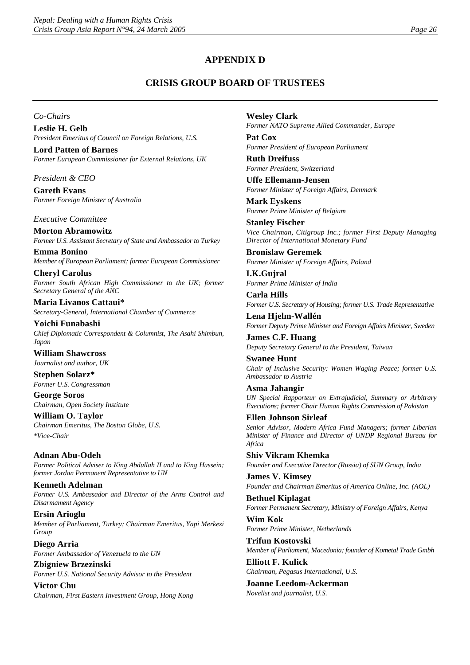## **APPENDIX D**

## **CRISIS GROUP BOARD OF TRUSTEES**

*Co-Chairs* 

**Leslie H. Gelb**  *President Emeritus of Council on Foreign Relations, U.S.* 

**Lord Patten of Barnes**  *Former European Commissioner for External Relations, UK* 

*President & CEO* 

**Gareth Evans**  *Former Foreign Minister of Australia* 

*Executive Committee* 

**Morton Abramowitz**  *Former U.S. Assistant Secretary of State and Ambassador to Turkey* 

**Emma Bonino**  *Member of European Parliament; former European Commissioner* 

**Cheryl Carolus**  *Former South African High Commissioner to the UK; former Secretary General of the ANC* 

**Maria Livanos Cattaui\***  *Secretary-General, International Chamber of Commerce* 

**Yoichi Funabashi**  *Chief Diplomatic Correspondent & Columnist, The Asahi Shimbun, Japan* 

**William Shawcross**  *Journalist and author, UK* 

**Stephen Solarz\***  *Former U.S. Congressman* 

**George Soros**  *Chairman, Open Society Institute* 

**William O. Taylor**  *Chairman Emeritus, The Boston Globe, U.S. \*Vice-Chair* 

**Adnan Abu-Odeh**  *Former Political Adviser to King Abdullah II and to King Hussein; former Jordan Permanent Representative to UN* 

**Kenneth Adelman**  *Former U.S. Ambassador and Director of the Arms Control and Disarmament Agency* 

**Ersin Arioglu**  *Member of Parliament, Turkey; Chairman Emeritus, Yapi Merkezi Group* 

**Diego Arria**  *Former Ambassador of Venezuela to the UN* 

**Zbigniew Brzezinski**  *Former U.S. National Security Advisor to the President* 

**Victor Chu**  *Chairman, First Eastern Investment Group, Hong Kong*  **Wesley Clark**  *Former NATO Supreme Allied Commander, Europe* 

**Pat Cox**  *Former President of European Parliament* 

**Ruth Dreifuss**  *Former President, Switzerland* 

**Uffe Ellemann-Jensen**  *Former Minister of Foreign Affairs, Denmark* 

**Mark Eyskens**  *Former Prime Minister of Belgium* 

**Stanley Fischer**  *Vice Chairman, Citigroup Inc.; former First Deputy Managing Director of International Monetary Fund* 

**Bronislaw Geremek**  *Former Minister of Foreign Affairs, Poland* 

**I.K.Gujral**  *Former Prime Minister of India* 

**Carla Hills**  *Former U.S. Secretary of Housing; former U.S. Trade Representative* 

**Lena Hjelm-Wallén**  *Former Deputy Prime Minister and Foreign Affairs Minister, Sweden* 

**James C.F. Huang**  *Deputy Secretary General to the President, Taiwan* 

**Swanee Hunt**  *Chair of Inclusive Security: Women Waging Peace; former U.S. Ambassador to Austria* 

**Asma Jahangir**  *UN Special Rapporteur on Extrajudicial, Summary or Arbitrary Executions; former Chair Human Rights Commission of Pakistan* 

**Ellen Johnson Sirleaf**  *Senior Advisor, Modern Africa Fund Managers; former Liberian Minister of Finance and Director of UNDP Regional Bureau for Africa* 

**Shiv Vikram Khemka**  *Founder and Executive Director (Russia) of SUN Group, India* 

**James V. Kimsey**  *Founder and Chairman Emeritus of America Online, Inc. (AOL)* 

**Bethuel Kiplagat**  *Former Permanent Secretary, Ministry of Foreign Affairs, Kenya* 

**Wim Kok**  *Former Prime Minister, Netherlands* 

**Trifun Kostovski**  *Member of Parliament, Macedonia; founder of Kometal Trade Gmbh* 

**Elliott F. Kulick**  *Chairman, Pegasus International, U.S.* 

**Joanne Leedom-Ackerman**  *Novelist and journalist, U.S.*